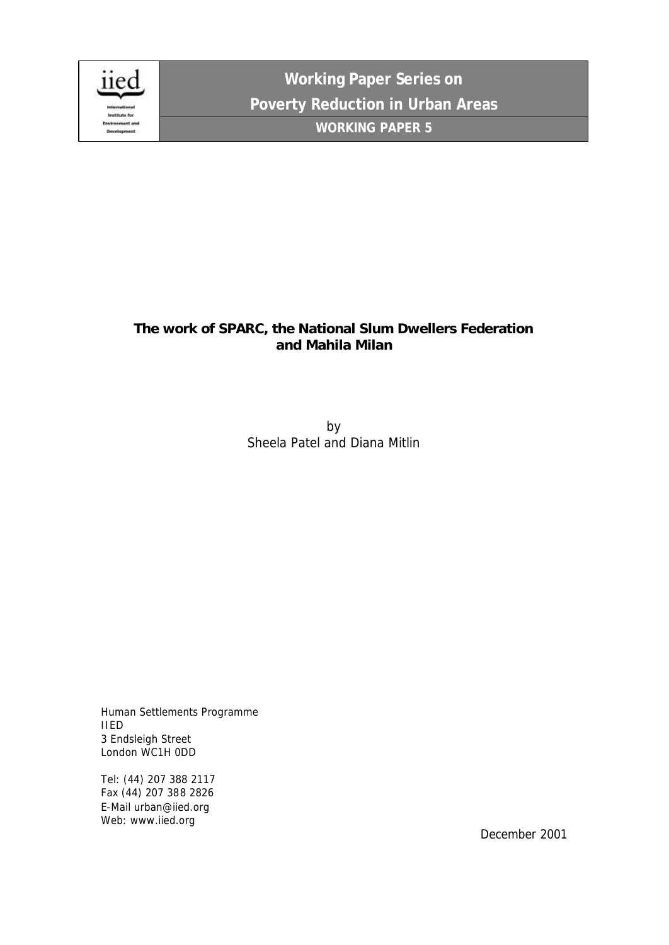

**Working Paper Series on Poverty Reduction in Urban Areas WORKING PAPER 5**

# **The work of SPARC, the National Slum Dwellers Federation and Mahila Milan**

by Sheela Patel and Diana Mitlin

Human Settlements Programme IIED 3 Endsleigh Street London WC1H 0DD

Tel: (44) 207 388 2117 Fax (44) 207 388 2826 E-Mail urban@iied.org Web: www.iied.org

December 2001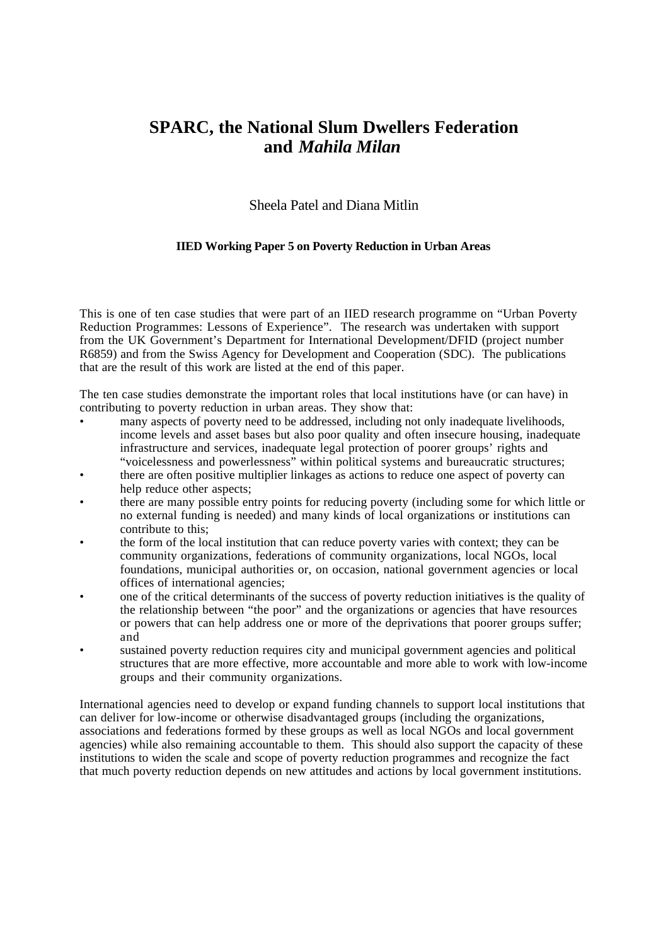# **SPARC, the National Slum Dwellers Federation and** *Mahila Milan*

## Sheela Patel and Diana Mitlin

## **IIED Working Paper 5 on Poverty Reduction in Urban Areas**

This is one of ten case studies that were part of an IIED research programme on "Urban Poverty Reduction Programmes: Lessons of Experience". The research was undertaken with support from the UK Government's Department for International Development/DFID (project number R6859) and from the Swiss Agency for Development and Cooperation (SDC). The publications that are the result of this work are listed at the end of this paper.

The ten case studies demonstrate the important roles that local institutions have (or can have) in contributing to poverty reduction in urban areas. They show that:

- many aspects of poverty need to be addressed, including not only inadequate livelihoods. income levels and asset bases but also poor quality and often insecure housing, inadequate infrastructure and services, inadequate legal protection of poorer groups' rights and "voicelessness and powerlessness" within political systems and bureaucratic structures;
- there are often positive multiplier linkages as actions to reduce one aspect of poverty can help reduce other aspects;
- there are many possible entry points for reducing poverty (including some for which little or no external funding is needed) and many kinds of local organizations or institutions can contribute to this;
- the form of the local institution that can reduce poverty varies with context; they can be community organizations, federations of community organizations, local NGOs, local foundations, municipal authorities or, on occasion, national government agencies or local offices of international agencies;
- one of the critical determinants of the success of poverty reduction initiatives is the quality of the relationship between "the poor" and the organizations or agencies that have resources or powers that can help address one or more of the deprivations that poorer groups suffer; and
- sustained poverty reduction requires city and municipal government agencies and political structures that are more effective, more accountable and more able to work with low-income groups and their community organizations.

International agencies need to develop or expand funding channels to support local institutions that can deliver for low-income or otherwise disadvantaged groups (including the organizations, associations and federations formed by these groups as well as local NGOs and local government agencies) while also remaining accountable to them. This should also support the capacity of these institutions to widen the scale and scope of poverty reduction programmes and recognize the fact that much poverty reduction depends on new attitudes and actions by local government institutions.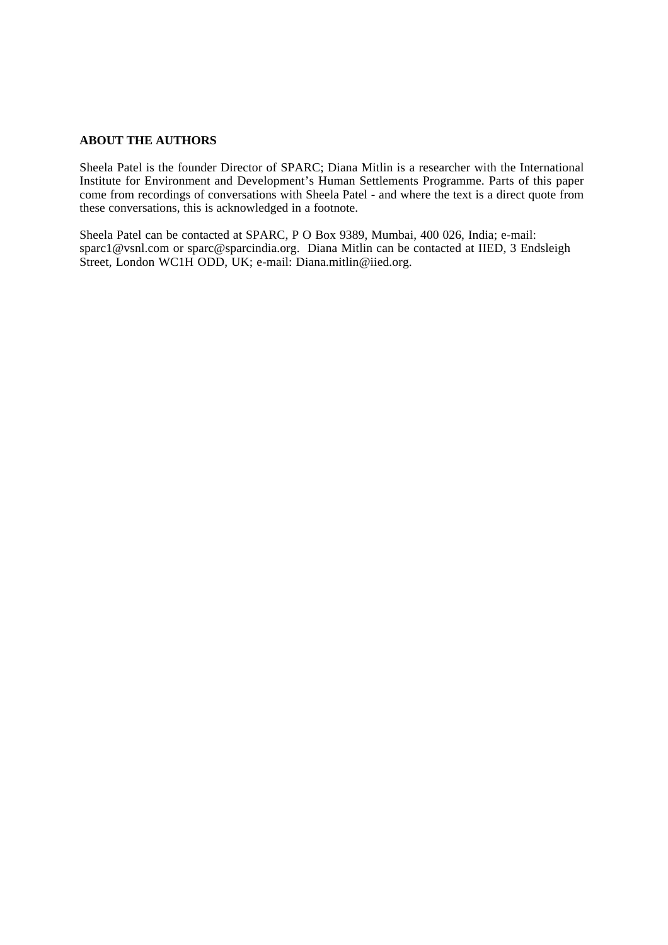## **ABOUT THE AUTHORS**

Sheela Patel is the founder Director of SPARC; Diana Mitlin is a researcher with the International Institute for Environment and Development's Human Settlements Programme. Parts of this paper come from recordings of conversations with Sheela Patel - and where the text is a direct quote from these conversations, this is acknowledged in a footnote.

Sheela Patel can be contacted at SPARC, P O Box 9389, Mumbai, 400 026, India; e-mail: sparc1@vsnl.com or sparc@sparcindia.org. Diana Mitlin can be contacted at IIED, 3 Endsleigh Street, London WC1H ODD, UK; e-mail: Diana.mitlin@iied.org.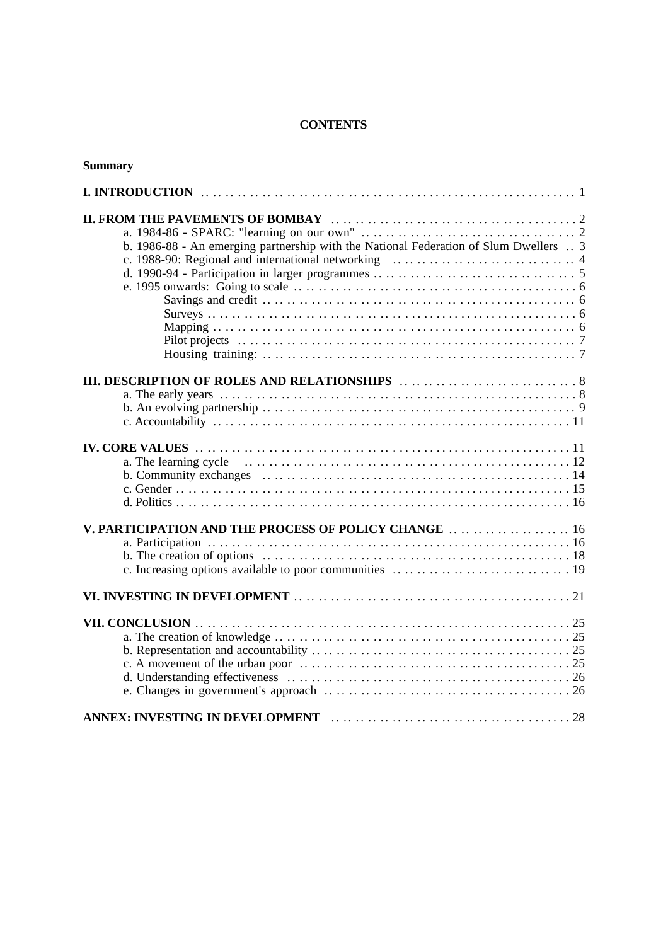## **CONTENTS**

| <b>Summary</b>                                                                                                                                                                         |
|----------------------------------------------------------------------------------------------------------------------------------------------------------------------------------------|
|                                                                                                                                                                                        |
| b. 1986-88 - An emerging partnership with the National Federation of Slum Dwellers  3                                                                                                  |
|                                                                                                                                                                                        |
|                                                                                                                                                                                        |
| V. PARTICIPATION AND THE PROCESS OF POLICY CHANGE  16<br>c. Increasing options available to poor communities $\dots \dots \dots \dots \dots \dots \dots \dots \dots \dots \dots \dots$ |
|                                                                                                                                                                                        |
|                                                                                                                                                                                        |
| ANNEX: INVESTING IN DEVELOPMENT Experience and the contract of the 28                                                                                                                  |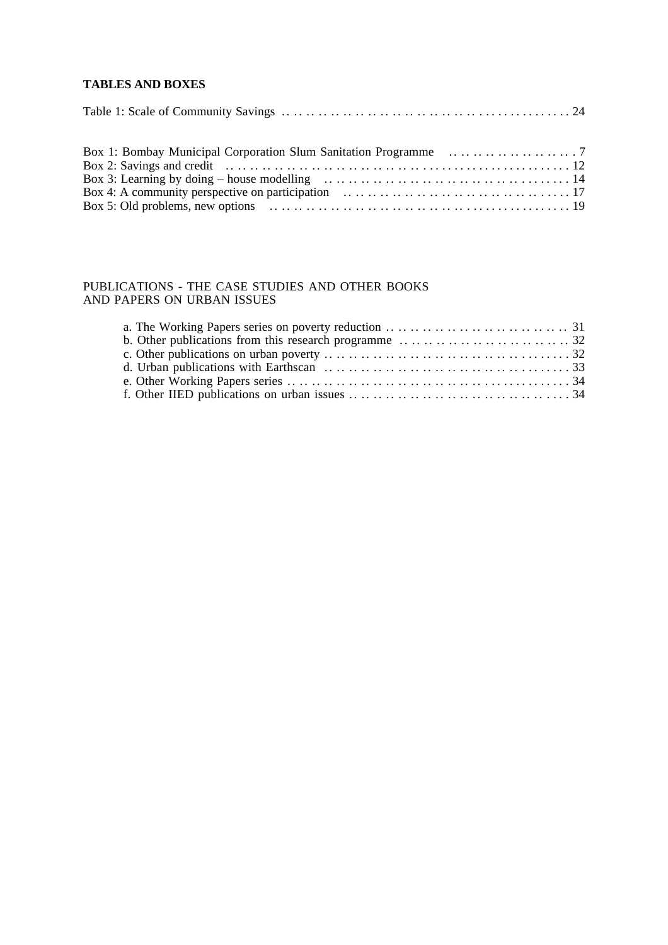## **TABLES AND BOXES**

## PUBLICATIONS - THE CASE STUDIES AND OTHER BOOKS AND PAPERS ON URBAN ISSUES

| a. The Working Papers series on poverty reduction $\dots \dots \dots \dots \dots \dots \dots \dots \dots \dots \dots$                  |  |
|----------------------------------------------------------------------------------------------------------------------------------------|--|
| b. Other publications from this research programme $\dots \dots \dots \dots \dots \dots \dots \dots \dots \dots$ 32                    |  |
|                                                                                                                                        |  |
| d. Urban publications with Earthscan $\ldots \ldots \ldots \ldots \ldots \ldots \ldots \ldots \ldots \ldots \ldots \ldots$             |  |
| e. Other Working Papers series $\dots \dots \dots \dots \dots \dots \dots \dots \dots \dots \dots \dots \dots \dots \dots \dots \dots$ |  |
|                                                                                                                                        |  |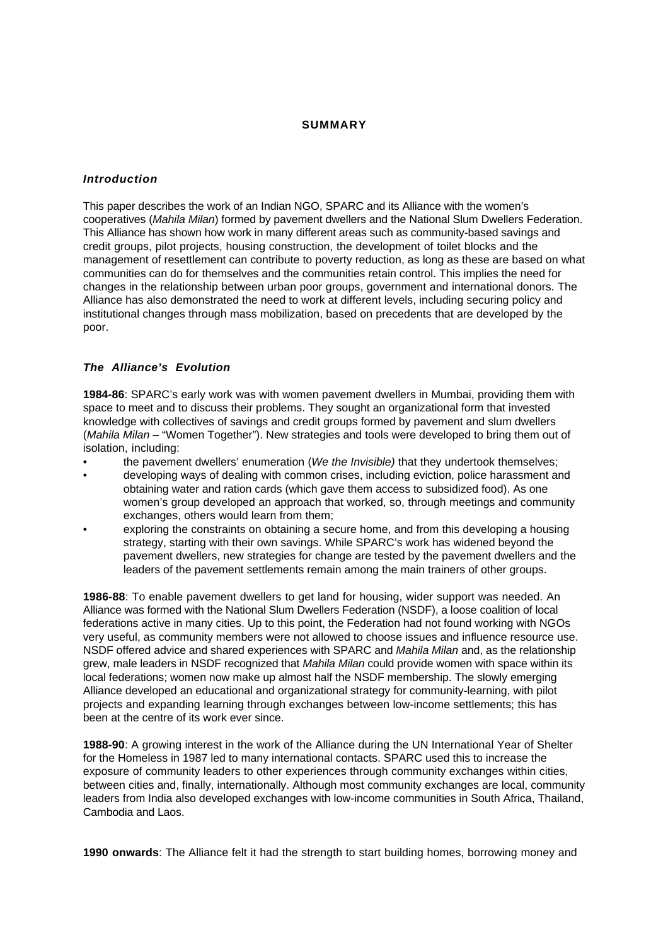## **SUMMARY**

## **Introduction**

This paper describes the work of an Indian NGO, SPARC and its Alliance with the women's cooperatives (Mahila Milan) formed by pavement dwellers and the National Slum Dwellers Federation. This Alliance has shown how work in many different areas such as community-based savings and credit groups, pilot projects, housing construction, the development of toilet blocks and the management of resettlement can contribute to poverty reduction, as long as these are based on what communities can do for themselves and the communities retain control. This implies the need for changes in the relationship between urban poor groups, government and international donors. The Alliance has also demonstrated the need to work at different levels, including securing policy and institutional changes through mass mobilization, based on precedents that are developed by the poor.

## **The Alliance's Evolution**

**1984-86**: SPARC's early work was with women pavement dwellers in Mumbai, providing them with space to meet and to discuss their problems. They sought an organizational form that invested knowledge with collectives of savings and credit groups formed by pavement and slum dwellers (Mahila Milan – "Women Together"). New strategies and tools were developed to bring them out of isolation, including:

- the pavement dwellers' enumeration (We the Invisible) that they undertook themselves;
- developing ways of dealing with common crises, including eviction, police harassment and obtaining water and ration cards (which gave them access to subsidized food). As one women's group developed an approach that worked, so, through meetings and community exchanges, others would learn from them;
- exploring the constraints on obtaining a secure home, and from this developing a housing strategy, starting with their own savings. While SPARC's work has widened beyond the pavement dwellers, new strategies for change are tested by the pavement dwellers and the leaders of the pavement settlements remain among the main trainers of other groups.

**1986-88**: To enable pavement dwellers to get land for housing, wider support was needed. An Alliance was formed with the National Slum Dwellers Federation (NSDF), a loose coalition of local federations active in many cities. Up to this point, the Federation had not found working with NGOs very useful, as community members were not allowed to choose issues and influence resource use. NSDF offered advice and shared experiences with SPARC and Mahila Milan and, as the relationship grew, male leaders in NSDF recognized that Mahila Milan could provide women with space within its local federations; women now make up almost half the NSDF membership. The slowly emerging Alliance developed an educational and organizational strategy for community-learning, with pilot projects and expanding learning through exchanges between low-income settlements; this has been at the centre of its work ever since.

**1988-90**: A growing interest in the work of the Alliance during the UN International Year of Shelter for the Homeless in 1987 led to many international contacts. SPARC used this to increase the exposure of community leaders to other experiences through community exchanges within cities, between cities and, finally, internationally. Although most community exchanges are local, community leaders from India also developed exchanges with low-income communities in South Africa, Thailand, Cambodia and Laos.

**1990 onwards**: The Alliance felt it had the strength to start building homes, borrowing money and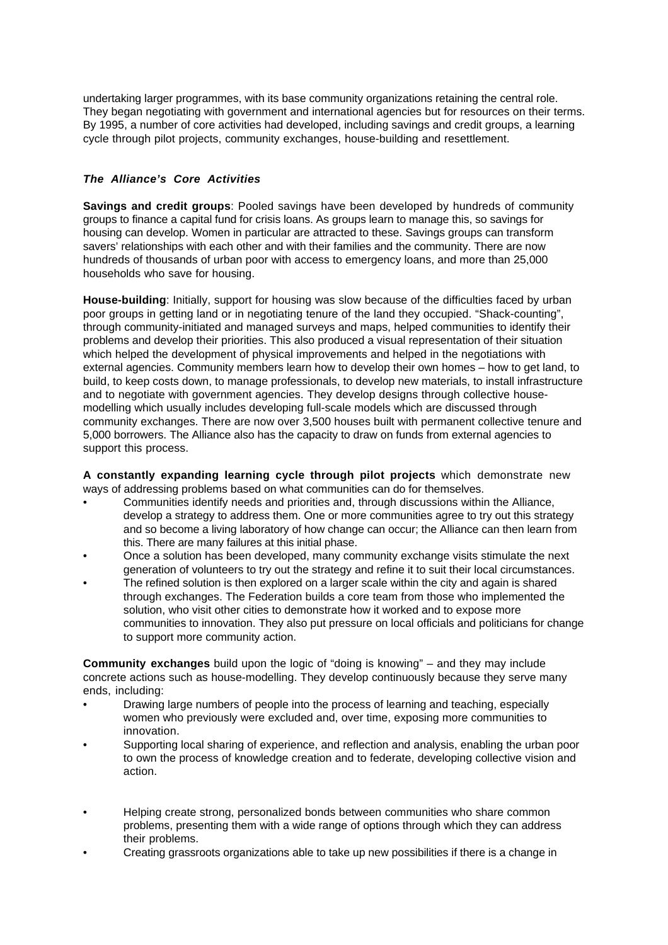undertaking larger programmes, with its base community organizations retaining the central role. They began negotiating with government and international agencies but for resources on their terms. By 1995, a number of core activities had developed, including savings and credit groups, a learning cycle through pilot projects, community exchanges, house-building and resettlement.

## **The Alliance's Core Activities**

**Savings and credit groups**: Pooled savings have been developed by hundreds of community groups to finance a capital fund for crisis loans. As groups learn to manage this, so savings for housing can develop. Women in particular are attracted to these. Savings groups can transform savers' relationships with each other and with their families and the community. There are now hundreds of thousands of urban poor with access to emergency loans, and more than 25,000 households who save for housing.

**House-building**: Initially, support for housing was slow because of the difficulties faced by urban poor groups in getting land or in negotiating tenure of the land they occupied. "Shack-counting", through community-initiated and managed surveys and maps, helped communities to identify their problems and develop their priorities. This also produced a visual representation of their situation which helped the development of physical improvements and helped in the negotiations with external agencies. Community members learn how to develop their own homes – how to get land, to build, to keep costs down, to manage professionals, to develop new materials, to install infrastructure and to negotiate with government agencies. They develop designs through collective housemodelling which usually includes developing full-scale models which are discussed through community exchanges. There are now over 3,500 houses built with permanent collective tenure and 5,000 borrowers. The Alliance also has the capacity to draw on funds from external agencies to support this process.

**A constantly expanding learning cycle through pilot projects** which demonstrate new ways of addressing problems based on what communities can do for themselves.

- Communities identify needs and priorities and, through discussions within the Alliance, develop a strategy to address them. One or more communities agree to try out this strategy and so become a living laboratory of how change can occur; the Alliance can then learn from this. There are many failures at this initial phase.
- Once a solution has been developed, many community exchange visits stimulate the next generation of volunteers to try out the strategy and refine it to suit their local circumstances.
- The refined solution is then explored on a larger scale within the city and again is shared through exchanges. The Federation builds a core team from those who implemented the solution, who visit other cities to demonstrate how it worked and to expose more communities to innovation. They also put pressure on local officials and politicians for change to support more community action.

**Community exchanges** build upon the logic of "doing is knowing" – and they may include concrete actions such as house-modelling. They develop continuously because they serve many ends, including:

- Drawing large numbers of people into the process of learning and teaching, especially women who previously were excluded and, over time, exposing more communities to innovation.
- Supporting local sharing of experience, and reflection and analysis, enabling the urban poor to own the process of knowledge creation and to federate, developing collective vision and action.
- Helping create strong, personalized bonds between communities who share common problems, presenting them with a wide range of options through which they can address their problems.
- Creating grassroots organizations able to take up new possibilities if there is a change in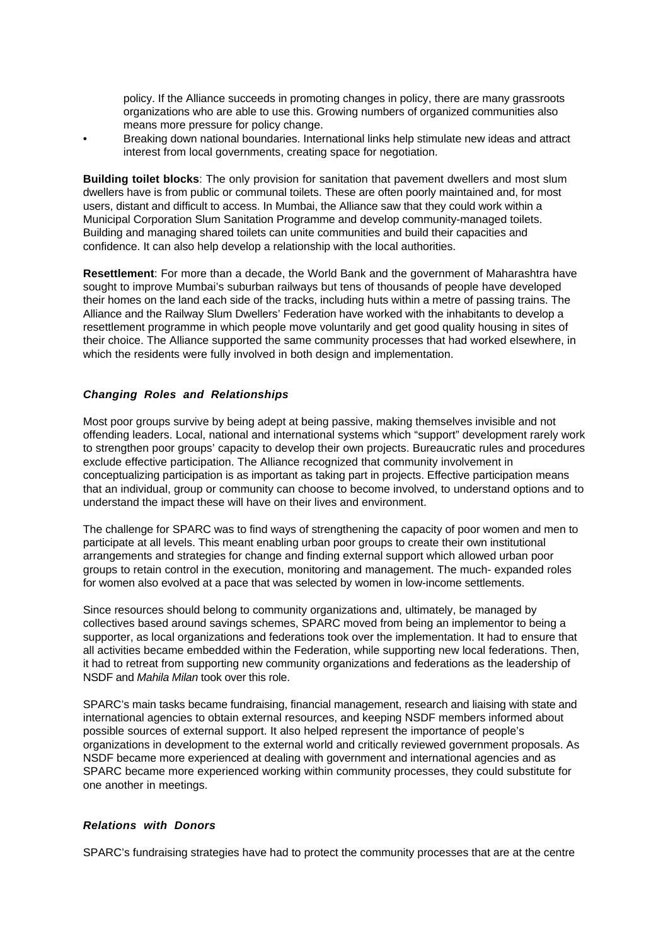policy. If the Alliance succeeds in promoting changes in policy, there are many grassroots organizations who are able to use this. Growing numbers of organized communities also means more pressure for policy change.

• Breaking down national boundaries. International links help stimulate new ideas and attract interest from local governments, creating space for negotiation.

**Building toilet blocks**: The only provision for sanitation that pavement dwellers and most slum dwellers have is from public or communal toilets. These are often poorly maintained and, for most users, distant and difficult to access. In Mumbai, the Alliance saw that they could work within a Municipal Corporation Slum Sanitation Programme and develop community-managed toilets. Building and managing shared toilets can unite communities and build their capacities and confidence. It can also help develop a relationship with the local authorities.

**Resettlement**: For more than a decade, the World Bank and the government of Maharashtra have sought to improve Mumbai's suburban railways but tens of thousands of people have developed their homes on the land each side of the tracks, including huts within a metre of passing trains. The Alliance and the Railway Slum Dwellers' Federation have worked with the inhabitants to develop a resettlement programme in which people move voluntarily and get good quality housing in sites of their choice. The Alliance supported the same community processes that had worked elsewhere, in which the residents were fully involved in both design and implementation.

## **Changing Roles and Relationships**

Most poor groups survive by being adept at being passive, making themselves invisible and not offending leaders. Local, national and international systems which "support" development rarely work to strengthen poor groups' capacity to develop their own projects. Bureaucratic rules and procedures exclude effective participation. The Alliance recognized that community involvement in conceptualizing participation is as important as taking part in projects. Effective participation means that an individual, group or community can choose to become involved, to understand options and to understand the impact these will have on their lives and environment.

The challenge for SPARC was to find ways of strengthening the capacity of poor women and men to participate at all levels. This meant enabling urban poor groups to create their own institutional arrangements and strategies for change and finding external support which allowed urban poor groups to retain control in the execution, monitoring and management. The much- expanded roles for women also evolved at a pace that was selected by women in low-income settlements.

Since resources should belong to community organizations and, ultimately, be managed by collectives based around savings schemes, SPARC moved from being an implementor to being a supporter, as local organizations and federations took over the implementation. It had to ensure that all activities became embedded within the Federation, while supporting new local federations. Then, it had to retreat from supporting new community organizations and federations as the leadership of NSDF and Mahila Milan took over this role.

SPARC's main tasks became fundraising, financial management, research and liaising with state and international agencies to obtain external resources, and keeping NSDF members informed about possible sources of external support. It also helped represent the importance of people's organizations in development to the external world and critically reviewed government proposals. As NSDF became more experienced at dealing with government and international agencies and as SPARC became more experienced working within community processes, they could substitute for one another in meetings.

#### **Relations with Donors**

SPARC's fundraising strategies have had to protect the community processes that are at the centre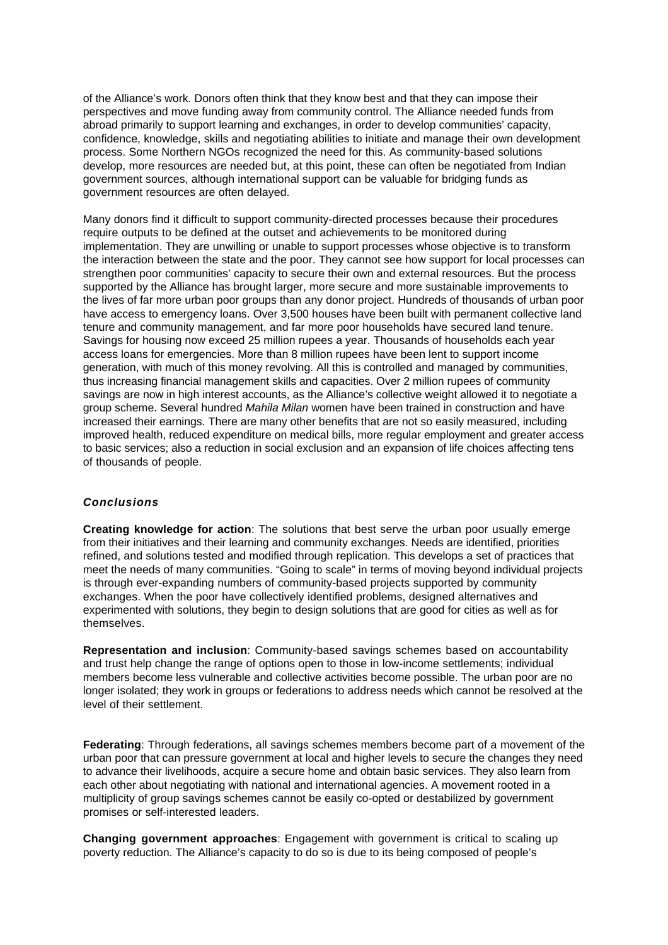of the Alliance's work. Donors often think that they know best and that they can impose their perspectives and move funding away from community control. The Alliance needed funds from abroad primarily to support learning and exchanges, in order to develop communities' capacity, confidence, knowledge, skills and negotiating abilities to initiate and manage their own development process. Some Northern NGOs recognized the need for this. As community-based solutions develop, more resources are needed but, at this point, these can often be negotiated from Indian government sources, although international support can be valuable for bridging funds as government resources are often delayed.

Many donors find it difficult to support community-directed processes because their procedures require outputs to be defined at the outset and achievements to be monitored during implementation. They are unwilling or unable to support processes whose objective is to transform the interaction between the state and the poor. They cannot see how support for local processes can strengthen poor communities' capacity to secure their own and external resources. But the process supported by the Alliance has brought larger, more secure and more sustainable improvements to the lives of far more urban poor groups than any donor project. Hundreds of thousands of urban poor have access to emergency loans. Over 3,500 houses have been built with permanent collective land tenure and community management, and far more poor households have secured land tenure. Savings for housing now exceed 25 million rupees a year. Thousands of households each year access loans for emergencies. More than 8 million rupees have been lent to support income generation, with much of this money revolving. All this is controlled and managed by communities, thus increasing financial management skills and capacities. Over 2 million rupees of community savings are now in high interest accounts, as the Alliance's collective weight allowed it to negotiate a group scheme. Several hundred Mahila Milan women have been trained in construction and have increased their earnings. There are many other benefits that are not so easily measured, including improved health, reduced expenditure on medical bills, more regular employment and greater access to basic services; also a reduction in social exclusion and an expansion of life choices affecting tens of thousands of people.

## **Conclusions**

**Creating knowledge for action**: The solutions that best serve the urban poor usually emerge from their initiatives and their learning and community exchanges. Needs are identified, priorities refined, and solutions tested and modified through replication. This develops a set of practices that meet the needs of many communities. "Going to scale" in terms of moving beyond individual projects is through ever-expanding numbers of community-based projects supported by community exchanges. When the poor have collectively identified problems, designed alternatives and experimented with solutions, they begin to design solutions that are good for cities as well as for themselves.

**Representation and inclusion**: Community-based savings schemes based on accountability and trust help change the range of options open to those in low-income settlements; individual members become less vulnerable and collective activities become possible. The urban poor are no longer isolated; they work in groups or federations to address needs which cannot be resolved at the level of their settlement.

**Federating**: Through federations, all savings schemes members become part of a movement of the urban poor that can pressure government at local and higher levels to secure the changes they need to advance their livelihoods, acquire a secure home and obtain basic services. They also learn from each other about negotiating with national and international agencies. A movement rooted in a multiplicity of group savings schemes cannot be easily co-opted or destabilized by government promises or self-interested leaders.

**Changing government approaches**: Engagement with government is critical to scaling up poverty reduction. The Alliance's capacity to do so is due to its being composed of people's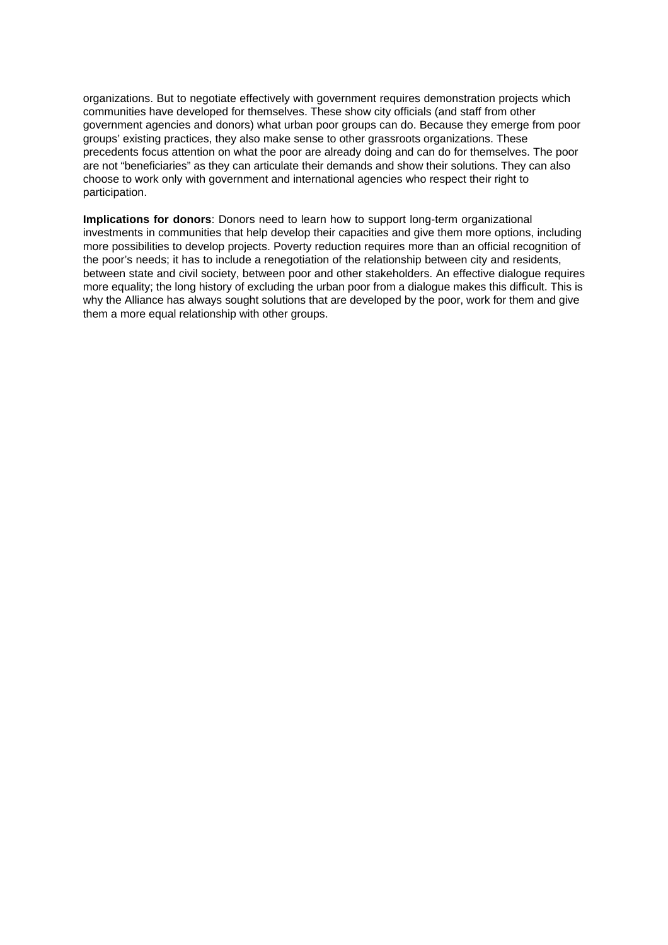organizations. But to negotiate effectively with government requires demonstration projects which communities have developed for themselves. These show city officials (and staff from other government agencies and donors) what urban poor groups can do. Because they emerge from poor groups' existing practices, they also make sense to other grassroots organizations. These precedents focus attention on what the poor are already doing and can do for themselves. The poor are not "beneficiaries" as they can articulate their demands and show their solutions. They can also choose to work only with government and international agencies who respect their right to participation.

**Implications for donors**: Donors need to learn how to support long-term organizational investments in communities that help develop their capacities and give them more options, including more possibilities to develop projects. Poverty reduction requires more than an official recognition of the poor's needs; it has to include a renegotiation of the relationship between city and residents, between state and civil society, between poor and other stakeholders. An effective dialogue requires more equality; the long history of excluding the urban poor from a dialogue makes this difficult. This is why the Alliance has always sought solutions that are developed by the poor, work for them and give them a more equal relationship with other groups.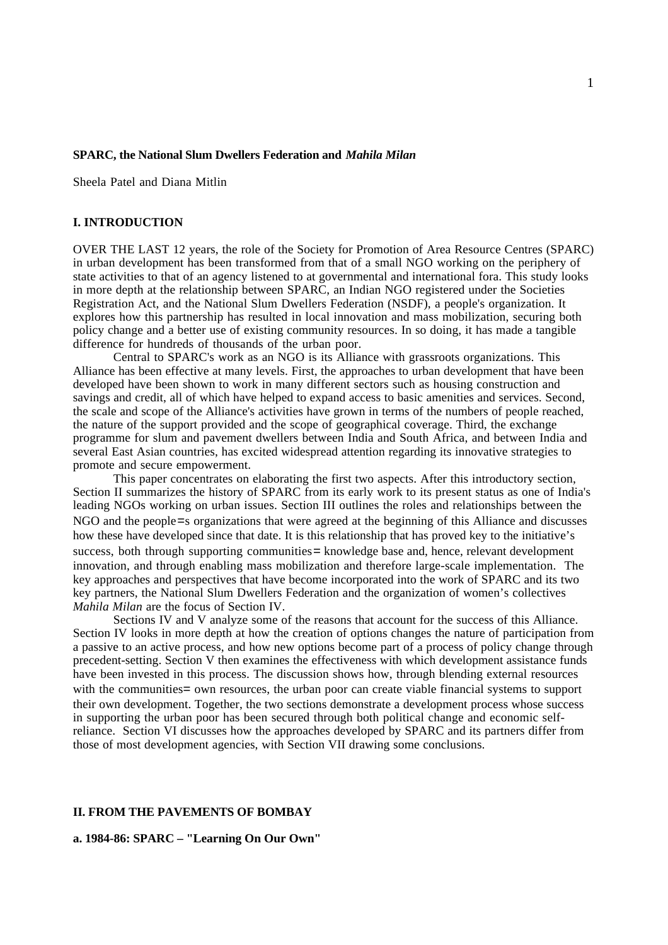## **SPARC, the National Slum Dwellers Federation and** *Mahila Milan*

Sheela Patel and Diana Mitlin

## **I. INTRODUCTION**

OVER THE LAST 12 years, the role of the Society for Promotion of Area Resource Centres (SPARC) in urban development has been transformed from that of a small NGO working on the periphery of state activities to that of an agency listened to at governmental and international fora. This study looks in more depth at the relationship between SPARC, an Indian NGO registered under the Societies Registration Act, and the National Slum Dwellers Federation (NSDF), a people's organization. It explores how this partnership has resulted in local innovation and mass mobilization, securing both policy change and a better use of existing community resources. In so doing, it has made a tangible difference for hundreds of thousands of the urban poor.

Central to SPARC's work as an NGO is its Alliance with grassroots organizations. This Alliance has been effective at many levels. First, the approaches to urban development that have been developed have been shown to work in many different sectors such as housing construction and savings and credit, all of which have helped to expand access to basic amenities and services. Second, the scale and scope of the Alliance's activities have grown in terms of the numbers of people reached, the nature of the support provided and the scope of geographical coverage. Third, the exchange programme for slum and pavement dwellers between India and South Africa, and between India and several East Asian countries, has excited widespread attention regarding its innovative strategies to promote and secure empowerment.

This paper concentrates on elaborating the first two aspects. After this introductory section, Section II summarizes the history of SPARC from its early work to its present status as one of India's leading NGOs working on urban issues. Section III outlines the roles and relationships between the NGO and the people=s organizations that were agreed at the beginning of this Alliance and discusses how these have developed since that date. It is this relationship that has proved key to the initiative's success, both through supporting communities= knowledge base and, hence, relevant development innovation, and through enabling mass mobilization and therefore large-scale implementation. The key approaches and perspectives that have become incorporated into the work of SPARC and its two key partners, the National Slum Dwellers Federation and the organization of women's collectives *Mahila Milan* are the focus of Section IV.

Sections IV and V analyze some of the reasons that account for the success of this Alliance. Section IV looks in more depth at how the creation of options changes the nature of participation from a passive to an active process, and how new options become part of a process of policy change through precedent-setting. Section V then examines the effectiveness with which development assistance funds have been invested in this process. The discussion shows how, through blending external resources with the communities = own resources, the urban poor can create viable financial systems to support their own development. Together, the two sections demonstrate a development process whose success in supporting the urban poor has been secured through both political change and economic selfreliance. Section VI discusses how the approaches developed by SPARC and its partners differ from those of most development agencies, with Section VII drawing some conclusions.

#### **II. FROM THE PAVEMENTS OF BOMBAY**

**a. 1984-86: SPARC – "Learning On Our Own"**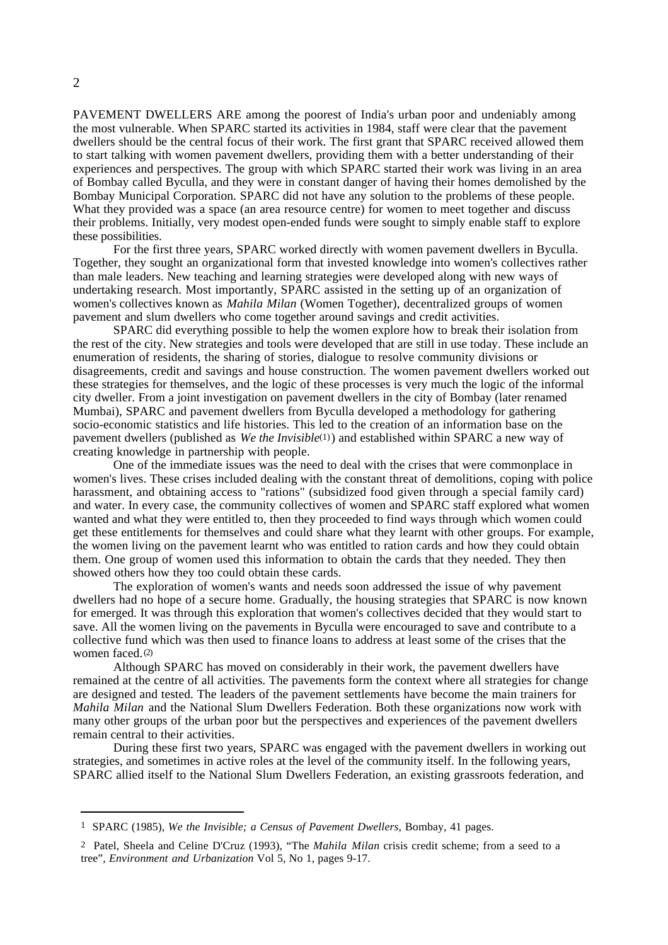PAVEMENT DWELLERS ARE among the poorest of India's urban poor and undeniably among the most vulnerable. When SPARC started its activities in 1984, staff were clear that the pavement dwellers should be the central focus of their work. The first grant that SPARC received allowed them to start talking with women pavement dwellers, providing them with a better understanding of their experiences and perspectives. The group with which SPARC started their work was living in an area of Bombay called Byculla, and they were in constant danger of having their homes demolished by the Bombay Municipal Corporation. SPARC did not have any solution to the problems of these people. What they provided was a space (an area resource centre) for women to meet together and discuss their problems. Initially, very modest open-ended funds were sought to simply enable staff to explore these possibilities.

For the first three years, SPARC worked directly with women pavement dwellers in Byculla. Together, they sought an organizational form that invested knowledge into women's collectives rather than male leaders. New teaching and learning strategies were developed along with new ways of undertaking research. Most importantly, SPARC assisted in the setting up of an organization of women's collectives known as *Mahila Milan* (Women Together), decentralized groups of women pavement and slum dwellers who come together around savings and credit activities.

SPARC did everything possible to help the women explore how to break their isolation from the rest of the city. New strategies and tools were developed that are still in use today. These include an enumeration of residents, the sharing of stories, dialogue to resolve community divisions or disagreements, credit and savings and house construction. The women pavement dwellers worked out these strategies for themselves, and the logic of these processes is very much the logic of the informal city dweller. From a joint investigation on pavement dwellers in the city of Bombay (later renamed Mumbai), SPARC and pavement dwellers from Byculla developed a methodology for gathering socio-economic statistics and life histories. This led to the creation of an information base on the pavement dwellers (published as *We the Invisible*(1)) and established within SPARC a new way of creating knowledge in partnership with people.

One of the immediate issues was the need to deal with the crises that were commonplace in women's lives. These crises included dealing with the constant threat of demolitions, coping with police harassment, and obtaining access to "rations" (subsidized food given through a special family card) and water. In every case, the community collectives of women and SPARC staff explored what women wanted and what they were entitled to, then they proceeded to find ways through which women could get these entitlements for themselves and could share what they learnt with other groups. For example, the women living on the pavement learnt who was entitled to ration cards and how they could obtain them. One group of women used this information to obtain the cards that they needed. They then showed others how they too could obtain these cards.

The exploration of women's wants and needs soon addressed the issue of why pavement dwellers had no hope of a secure home. Gradually, the housing strategies that SPARC is now known for emerged. It was through this exploration that women's collectives decided that they would start to save. All the women living on the pavements in Byculla were encouraged to save and contribute to a collective fund which was then used to finance loans to address at least some of the crises that the women faced.(2)

Although SPARC has moved on considerably in their work, the pavement dwellers have remained at the centre of all activities. The pavements form the context where all strategies for change are designed and tested. The leaders of the pavement settlements have become the main trainers for *Mahila Milan* and the National Slum Dwellers Federation. Both these organizations now work with many other groups of the urban poor but the perspectives and experiences of the pavement dwellers remain central to their activities.

During these first two years, SPARC was engaged with the pavement dwellers in working out strategies, and sometimes in active roles at the level of the community itself. In the following years, SPARC allied itself to the National Slum Dwellers Federation, an existing grassroots federation, and

<sup>1</sup> SPARC (1985), *We the Invisible; a Census of Pavement Dwellers*, Bombay, 41 pages.

<sup>2</sup> Patel, Sheela and Celine D'Cruz (1993), "The *Mahila Milan* crisis credit scheme; from a seed to a tree", *Environment and Urbanization* Vol 5, No 1, pages 9-17.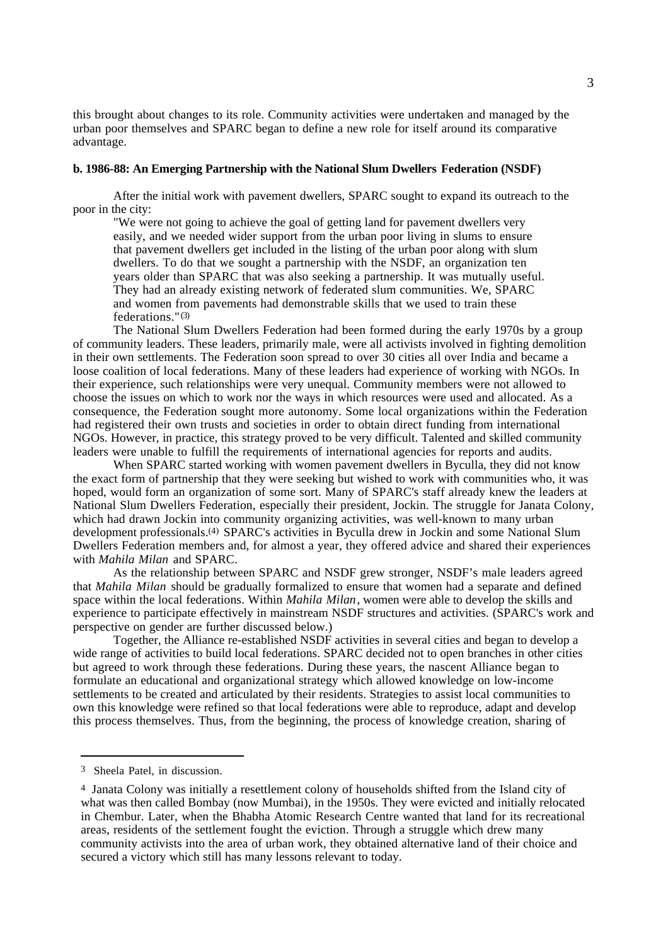this brought about changes to its role. Community activities were undertaken and managed by the urban poor themselves and SPARC began to define a new role for itself around its comparative advantage.

#### **b. 1986-88: An Emerging Partnership with the National Slum Dwellers Federation (NSDF)**

After the initial work with pavement dwellers, SPARC sought to expand its outreach to the poor in the city:

"We were not going to achieve the goal of getting land for pavement dwellers very easily, and we needed wider support from the urban poor living in slums to ensure that pavement dwellers get included in the listing of the urban poor along with slum dwellers. To do that we sought a partnership with the NSDF, an organization ten years older than SPARC that was also seeking a partnership. It was mutually useful. They had an already existing network of federated slum communities. We, SPARC and women from pavements had demonstrable skills that we used to train these federations."(3)

The National Slum Dwellers Federation had been formed during the early 1970s by a group of community leaders. These leaders, primarily male, were all activists involved in fighting demolition in their own settlements. The Federation soon spread to over 30 cities all over India and became a loose coalition of local federations. Many of these leaders had experience of working with NGOs. In their experience, such relationships were very unequal. Community members were not allowed to choose the issues on which to work nor the ways in which resources were used and allocated. As a consequence, the Federation sought more autonomy. Some local organizations within the Federation had registered their own trusts and societies in order to obtain direct funding from international NGOs. However, in practice, this strategy proved to be very difficult. Talented and skilled community leaders were unable to fulfill the requirements of international agencies for reports and audits.

When SPARC started working with women pavement dwellers in Byculla, they did not know the exact form of partnership that they were seeking but wished to work with communities who, it was hoped, would form an organization of some sort. Many of SPARC's staff already knew the leaders at National Slum Dwellers Federation, especially their president, Jockin. The struggle for Janata Colony, which had drawn Jockin into community organizing activities, was well-known to many urban development professionals.(4) SPARC's activities in Byculla drew in Jockin and some National Slum Dwellers Federation members and, for almost a year, they offered advice and shared their experiences with *Mahila Milan* and SPARC.

As the relationship between SPARC and NSDF grew stronger, NSDF's male leaders agreed that *Mahila Milan* should be gradually formalized to ensure that women had a separate and defined space within the local federations. Within *Mahila Milan*, women were able to develop the skills and experience to participate effectively in mainstream NSDF structures and activities. (SPARC's work and perspective on gender are further discussed below.)

Together, the Alliance re-established NSDF activities in several cities and began to develop a wide range of activities to build local federations. SPARC decided not to open branches in other cities but agreed to work through these federations. During these years, the nascent Alliance began to formulate an educational and organizational strategy which allowed knowledge on low-income settlements to be created and articulated by their residents. Strategies to assist local communities to own this knowledge were refined so that local federations were able to reproduce, adapt and develop this process themselves. Thus, from the beginning, the process of knowledge creation, sharing of

<sup>3</sup> Sheela Patel, in discussion.

<sup>4</sup> Janata Colony was initially a resettlement colony of households shifted from the Island city of what was then called Bombay (now Mumbai), in the 1950s. They were evicted and initially relocated in Chembur. Later, when the Bhabha Atomic Research Centre wanted that land for its recreational areas, residents of the settlement fought the eviction. Through a struggle which drew many community activists into the area of urban work, they obtained alternative land of their choice and secured a victory which still has many lessons relevant to today.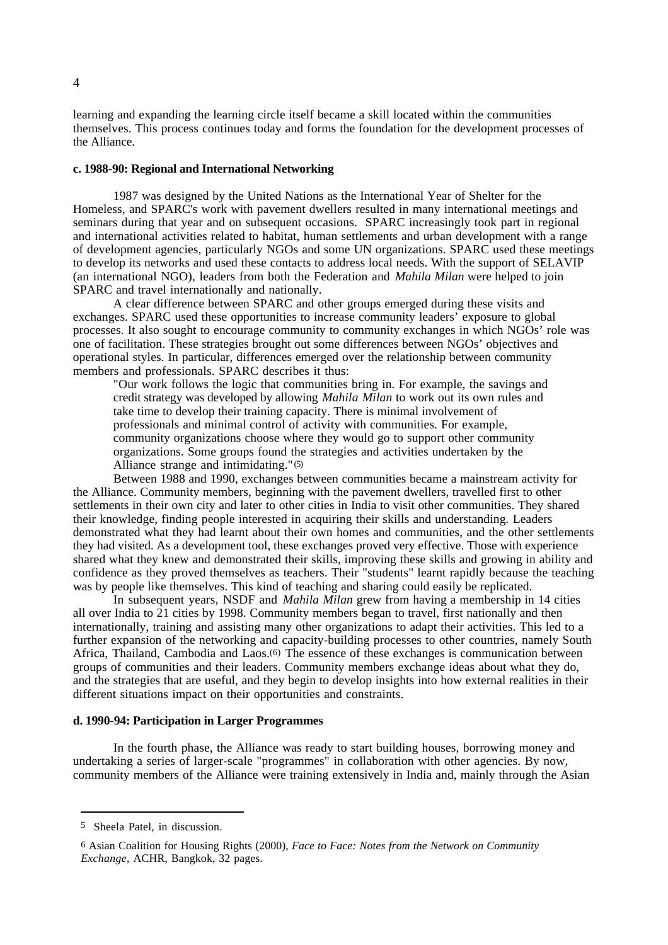learning and expanding the learning circle itself became a skill located within the communities themselves. This process continues today and forms the foundation for the development processes of the Alliance.

### **c. 1988-90: Regional and International Networking**

1987 was designed by the United Nations as the International Year of Shelter for the Homeless, and SPARC's work with pavement dwellers resulted in many international meetings and seminars during that year and on subsequent occasions. SPARC increasingly took part in regional and international activities related to habitat, human settlements and urban development with a range of development agencies, particularly NGOs and some UN organizations. SPARC used these meetings to develop its networks and used these contacts to address local needs. With the support of SELAVIP (an international NGO), leaders from both the Federation and *Mahila Milan* were helped to join SPARC and travel internationally and nationally.

A clear difference between SPARC and other groups emerged during these visits and exchanges. SPARC used these opportunities to increase community leaders' exposure to global processes. It also sought to encourage community to community exchanges in which NGOs' role was one of facilitation. These strategies brought out some differences between NGOs' objectives and operational styles. In particular, differences emerged over the relationship between community members and professionals. SPARC describes it thus:

"Our work follows the logic that communities bring in. For example, the savings and credit strategy was developed by allowing *Mahila Milan* to work out its own rules and take time to develop their training capacity. There is minimal involvement of professionals and minimal control of activity with communities. For example, community organizations choose where they would go to support other community organizations. Some groups found the strategies and activities undertaken by the Alliance strange and intimidating."(5)

Between 1988 and 1990, exchanges between communities became a mainstream activity for the Alliance. Community members, beginning with the pavement dwellers, travelled first to other settlements in their own city and later to other cities in India to visit other communities. They shared their knowledge, finding people interested in acquiring their skills and understanding. Leaders demonstrated what they had learnt about their own homes and communities, and the other settlements they had visited. As a development tool, these exchanges proved very effective. Those with experience shared what they knew and demonstrated their skills, improving these skills and growing in ability and confidence as they proved themselves as teachers. Their "students" learnt rapidly because the teaching was by people like themselves. This kind of teaching and sharing could easily be replicated.

In subsequent years, NSDF and *Mahila Milan* grew from having a membership in 14 cities all over India to 21 cities by 1998. Community members began to travel, first nationally and then internationally, training and assisting many other organizations to adapt their activities. This led to a further expansion of the networking and capacity-building processes to other countries, namely South Africa, Thailand, Cambodia and Laos.(6) The essence of these exchanges is communication between groups of communities and their leaders. Community members exchange ideas about what they do, and the strategies that are useful, and they begin to develop insights into how external realities in their different situations impact on their opportunities and constraints.

#### **d. 1990-94: Participation in Larger Programmes**

In the fourth phase, the Alliance was ready to start building houses, borrowing money and undertaking a series of larger-scale "programmes" in collaboration with other agencies. By now, community members of the Alliance were training extensively in India and, mainly through the Asian

<sup>5</sup> Sheela Patel, in discussion.

<sup>6</sup> Asian Coalition for Housing Rights (2000), *Face to Face: Notes from the Network on Community Exchange*, ACHR, Bangkok, 32 pages.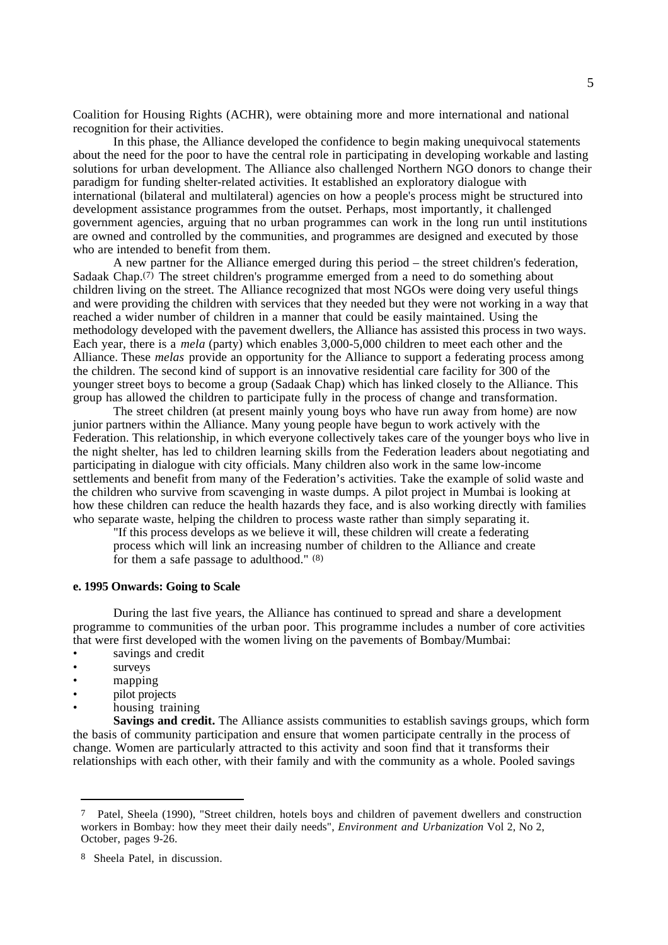Coalition for Housing Rights (ACHR), were obtaining more and more international and national recognition for their activities.

In this phase, the Alliance developed the confidence to begin making unequivocal statements about the need for the poor to have the central role in participating in developing workable and lasting solutions for urban development. The Alliance also challenged Northern NGO donors to change their paradigm for funding shelter-related activities. It established an exploratory dialogue with international (bilateral and multilateral) agencies on how a people's process might be structured into development assistance programmes from the outset. Perhaps, most importantly, it challenged government agencies, arguing that no urban programmes can work in the long run until institutions are owned and controlled by the communities, and programmes are designed and executed by those who are intended to benefit from them.

A new partner for the Alliance emerged during this period – the street children's federation, Sadaak Chap. $(7)$  The street children's programme emerged from a need to do something about children living on the street. The Alliance recognized that most NGOs were doing very useful things and were providing the children with services that they needed but they were not working in a way that reached a wider number of children in a manner that could be easily maintained. Using the methodology developed with the pavement dwellers, the Alliance has assisted this process in two ways. Each year, there is a *mela* (party) which enables 3,000-5,000 children to meet each other and the Alliance. These *melas* provide an opportunity for the Alliance to support a federating process among the children. The second kind of support is an innovative residential care facility for 300 of the younger street boys to become a group (Sadaak Chap) which has linked closely to the Alliance. This group has allowed the children to participate fully in the process of change and transformation.

The street children (at present mainly young boys who have run away from home) are now junior partners within the Alliance. Many young people have begun to work actively with the Federation. This relationship, in which everyone collectively takes care of the younger boys who live in the night shelter, has led to children learning skills from the Federation leaders about negotiating and participating in dialogue with city officials. Many children also work in the same low-income settlements and benefit from many of the Federation's activities. Take the example of solid waste and the children who survive from scavenging in waste dumps. A pilot project in Mumbai is looking at how these children can reduce the health hazards they face, and is also working directly with families who separate waste, helping the children to process waste rather than simply separating it.

"If this process develops as we believe it will, these children will create a federating process which will link an increasing number of children to the Alliance and create for them a safe passage to adulthood." (8)

#### **e. 1995 Onwards: Going to Scale**

During the last five years, the Alliance has continued to spread and share a development programme to communities of the urban poor. This programme includes a number of core activities that were first developed with the women living on the pavements of Bombay/Mumbai:

- savings and credit
- surveys
- mapping
- pilot projects
- housing training

**Savings and credit.** The Alliance assists communities to establish savings groups, which form the basis of community participation and ensure that women participate centrally in the process of change. Women are particularly attracted to this activity and soon find that it transforms their relationships with each other, with their family and with the community as a whole. Pooled savings

<sup>7</sup> Patel, Sheela (1990), "Street children, hotels boys and children of pavement dwellers and construction workers in Bombay: how they meet their daily needs", *Environment and Urbanization* Vol 2, No 2, October, pages 9-26.

<sup>8</sup> Sheela Patel, in discussion.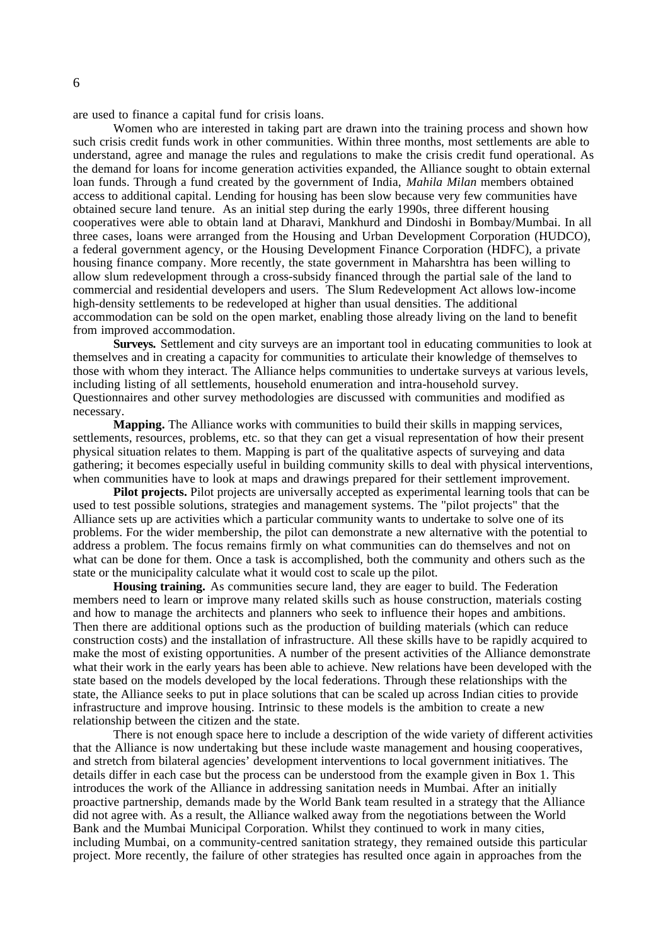are used to finance a capital fund for crisis loans.

Women who are interested in taking part are drawn into the training process and shown how such crisis credit funds work in other communities. Within three months, most settlements are able to understand, agree and manage the rules and regulations to make the crisis credit fund operational. As the demand for loans for income generation activities expanded, the Alliance sought to obtain external loan funds. Through a fund created by the government of India, *Mahila Milan* members obtained access to additional capital. Lending for housing has been slow because very few communities have obtained secure land tenure. As an initial step during the early 1990s, three different housing cooperatives were able to obtain land at Dharavi, Mankhurd and Dindoshi in Bombay/Mumbai. In all three cases, loans were arranged from the Housing and Urban Development Corporation (HUDCO), a federal government agency, or the Housing Development Finance Corporation (HDFC), a private housing finance company. More recently, the state government in Maharshtra has been willing to allow slum redevelopment through a cross-subsidy financed through the partial sale of the land to commercial and residential developers and users. The Slum Redevelopment Act allows low-income high-density settlements to be redeveloped at higher than usual densities. The additional accommodation can be sold on the open market, enabling those already living on the land to benefit from improved accommodation.

**Surveys.** Settlement and city surveys are an important tool in educating communities to look at themselves and in creating a capacity for communities to articulate their knowledge of themselves to those with whom they interact. The Alliance helps communities to undertake surveys at various levels, including listing of all settlements, household enumeration and intra-household survey. Questionnaires and other survey methodologies are discussed with communities and modified as necessary.

**Mapping.** The Alliance works with communities to build their skills in mapping services, settlements, resources, problems, etc. so that they can get a visual representation of how their present physical situation relates to them. Mapping is part of the qualitative aspects of surveying and data gathering; it becomes especially useful in building community skills to deal with physical interventions, when communities have to look at maps and drawings prepared for their settlement improvement.

**Pilot projects.** Pilot projects are universally accepted as experimental learning tools that can be used to test possible solutions, strategies and management systems. The "pilot projects" that the Alliance sets up are activities which a particular community wants to undertake to solve one of its problems. For the wider membership, the pilot can demonstrate a new alternative with the potential to address a problem. The focus remains firmly on what communities can do themselves and not on what can be done for them. Once a task is accomplished, both the community and others such as the state or the municipality calculate what it would cost to scale up the pilot.

**Housing training.** As communities secure land, they are eager to build. The Federation members need to learn or improve many related skills such as house construction, materials costing and how to manage the architects and planners who seek to influence their hopes and ambitions. Then there are additional options such as the production of building materials (which can reduce construction costs) and the installation of infrastructure. All these skills have to be rapidly acquired to make the most of existing opportunities. A number of the present activities of the Alliance demonstrate what their work in the early years has been able to achieve. New relations have been developed with the state based on the models developed by the local federations. Through these relationships with the state, the Alliance seeks to put in place solutions that can be scaled up across Indian cities to provide infrastructure and improve housing. Intrinsic to these models is the ambition to create a new relationship between the citizen and the state.

There is not enough space here to include a description of the wide variety of different activities that the Alliance is now undertaking but these include waste management and housing cooperatives, and stretch from bilateral agencies' development interventions to local government initiatives. The details differ in each case but the process can be understood from the example given in Box 1. This introduces the work of the Alliance in addressing sanitation needs in Mumbai. After an initially proactive partnership, demands made by the World Bank team resulted in a strategy that the Alliance did not agree with. As a result, the Alliance walked away from the negotiations between the World Bank and the Mumbai Municipal Corporation. Whilst they continued to work in many cities, including Mumbai, on a community-centred sanitation strategy, they remained outside this particular project. More recently, the failure of other strategies has resulted once again in approaches from the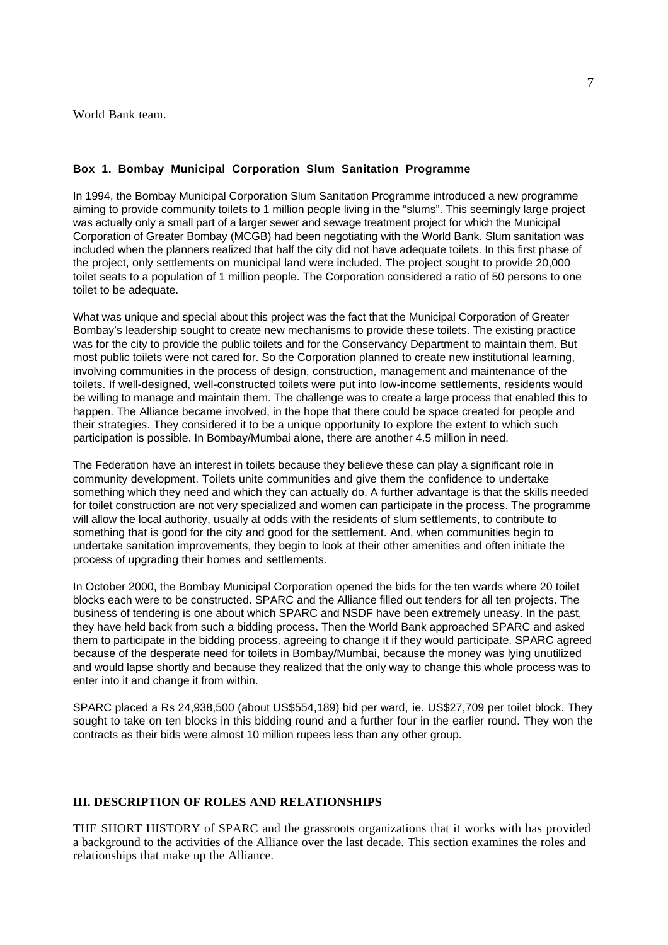World Bank team.

## **Box 1. Bombay Municipal Corporation Slum Sanitation Programme**

In 1994, the Bombay Municipal Corporation Slum Sanitation Programme introduced a new programme aiming to provide community toilets to 1 million people living in the "slums". This seemingly large project was actually only a small part of a larger sewer and sewage treatment project for which the Municipal Corporation of Greater Bombay (MCGB) had been negotiating with the World Bank. Slum sanitation was included when the planners realized that half the city did not have adequate toilets. In this first phase of the project, only settlements on municipal land were included. The project sought to provide 20,000 toilet seats to a population of 1 million people. The Corporation considered a ratio of 50 persons to one toilet to be adequate.

What was unique and special about this project was the fact that the Municipal Corporation of Greater Bombay's leadership sought to create new mechanisms to provide these toilets. The existing practice was for the city to provide the public toilets and for the Conservancy Department to maintain them. But most public toilets were not cared for. So the Corporation planned to create new institutional learning, involving communities in the process of design, construction, management and maintenance of the toilets. If well-designed, well-constructed toilets were put into low-income settlements, residents would be willing to manage and maintain them. The challenge was to create a large process that enabled this to happen. The Alliance became involved, in the hope that there could be space created for people and their strategies. They considered it to be a unique opportunity to explore the extent to which such participation is possible. In Bombay/Mumbai alone, there are another 4.5 million in need.

The Federation have an interest in toilets because they believe these can play a significant role in community development. Toilets unite communities and give them the confidence to undertake something which they need and which they can actually do. A further advantage is that the skills needed for toilet construction are not very specialized and women can participate in the process. The programme will allow the local authority, usually at odds with the residents of slum settlements, to contribute to something that is good for the city and good for the settlement. And, when communities begin to undertake sanitation improvements, they begin to look at their other amenities and often initiate the process of upgrading their homes and settlements.

In October 2000, the Bombay Municipal Corporation opened the bids for the ten wards where 20 toilet blocks each were to be constructed. SPARC and the Alliance filled out tenders for all ten projects. The business of tendering is one about which SPARC and NSDF have been extremely uneasy. In the past, they have held back from such a bidding process. Then the World Bank approached SPARC and asked them to participate in the bidding process, agreeing to change it if they would participate. SPARC agreed because of the desperate need for toilets in Bombay/Mumbai, because the money was lying unutilized and would lapse shortly and because they realized that the only way to change this whole process was to enter into it and change it from within.

SPARC placed a Rs 24,938,500 (about US\$554,189) bid per ward, ie. US\$27,709 per toilet block. They sought to take on ten blocks in this bidding round and a further four in the earlier round. They won the contracts as their bids were almost 10 million rupees less than any other group.

## **III. DESCRIPTION OF ROLES AND RELATIONSHIPS**

THE SHORT HISTORY of SPARC and the grassroots organizations that it works with has provided a background to the activities of the Alliance over the last decade. This section examines the roles and relationships that make up the Alliance.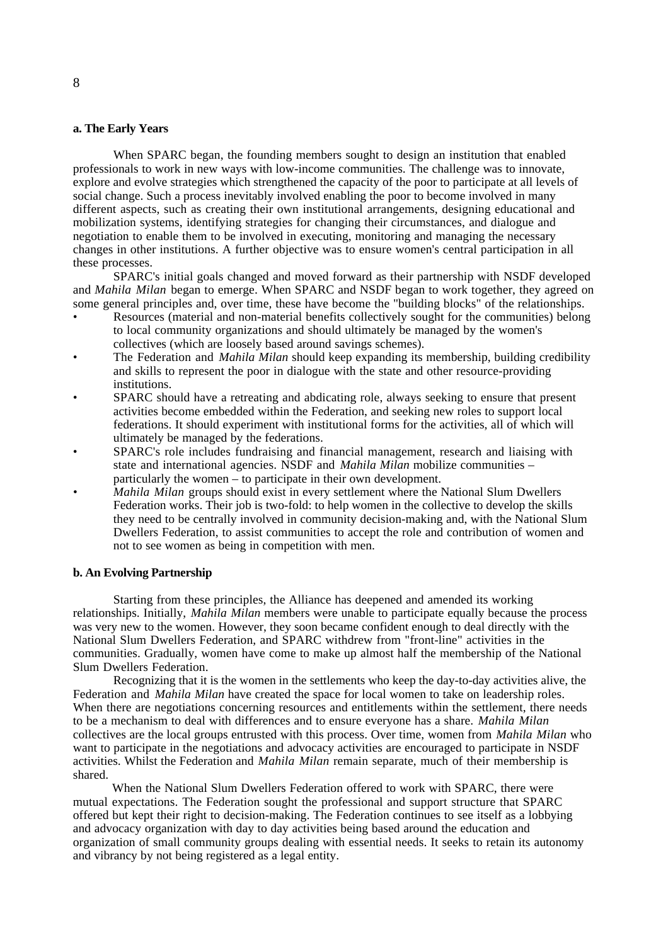#### **a. The Early Years**

When SPARC began, the founding members sought to design an institution that enabled professionals to work in new ways with low-income communities. The challenge was to innovate, explore and evolve strategies which strengthened the capacity of the poor to participate at all levels of social change. Such a process inevitably involved enabling the poor to become involved in many different aspects, such as creating their own institutional arrangements, designing educational and mobilization systems, identifying strategies for changing their circumstances, and dialogue and negotiation to enable them to be involved in executing, monitoring and managing the necessary changes in other institutions. A further objective was to ensure women's central participation in all these processes.

SPARC's initial goals changed and moved forward as their partnership with NSDF developed and *Mahila Milan* began to emerge. When SPARC and NSDF began to work together, they agreed on some general principles and, over time, these have become the "building blocks" of the relationships.

- Resources (material and non-material benefits collectively sought for the communities) belong to local community organizations and should ultimately be managed by the women's collectives (which are loosely based around savings schemes).
- The Federation and *Mahila Milan* should keep expanding its membership, building credibility and skills to represent the poor in dialogue with the state and other resource-providing institutions.
- SPARC should have a retreating and abdicating role, always seeking to ensure that present activities become embedded within the Federation, and seeking new roles to support local federations. It should experiment with institutional forms for the activities, all of which will ultimately be managed by the federations.
- SPARC's role includes fundraising and financial management, research and liaising with state and international agencies. NSDF and *Mahila Milan* mobilize communities – particularly the women – to participate in their own development.
- *• Mahila Milan* groups should exist in every settlement where the National Slum Dwellers Federation works. Their job is two-fold: to help women in the collective to develop the skills they need to be centrally involved in community decision-making and, with the National Slum Dwellers Federation, to assist communities to accept the role and contribution of women and not to see women as being in competition with men.

## **b. An Evolving Partnership**

Starting from these principles, the Alliance has deepened and amended its working relationships. Initially, *Mahila Milan* members were unable to participate equally because the process was very new to the women. However, they soon became confident enough to deal directly with the National Slum Dwellers Federation, and SPARC withdrew from "front-line" activities in the communities. Gradually, women have come to make up almost half the membership of the National Slum Dwellers Federation.

Recognizing that it is the women in the settlements who keep the day-to-day activities alive, the Federation and *Mahila Milan* have created the space for local women to take on leadership roles. When there are negotiations concerning resources and entitlements within the settlement, there needs to be a mechanism to deal with differences and to ensure everyone has a share. *Mahila Milan* collectives are the local groups entrusted with this process. Over time, women from *Mahila Milan* who want to participate in the negotiations and advocacy activities are encouraged to participate in NSDF activities. Whilst the Federation and *Mahila Milan* remain separate, much of their membership is shared.

When the National Slum Dwellers Federation offered to work with SPARC, there were mutual expectations. The Federation sought the professional and support structure that SPARC offered but kept their right to decision-making. The Federation continues to see itself as a lobbying and advocacy organization with day to day activities being based around the education and organization of small community groups dealing with essential needs. It seeks to retain its autonomy and vibrancy by not being registered as a legal entity.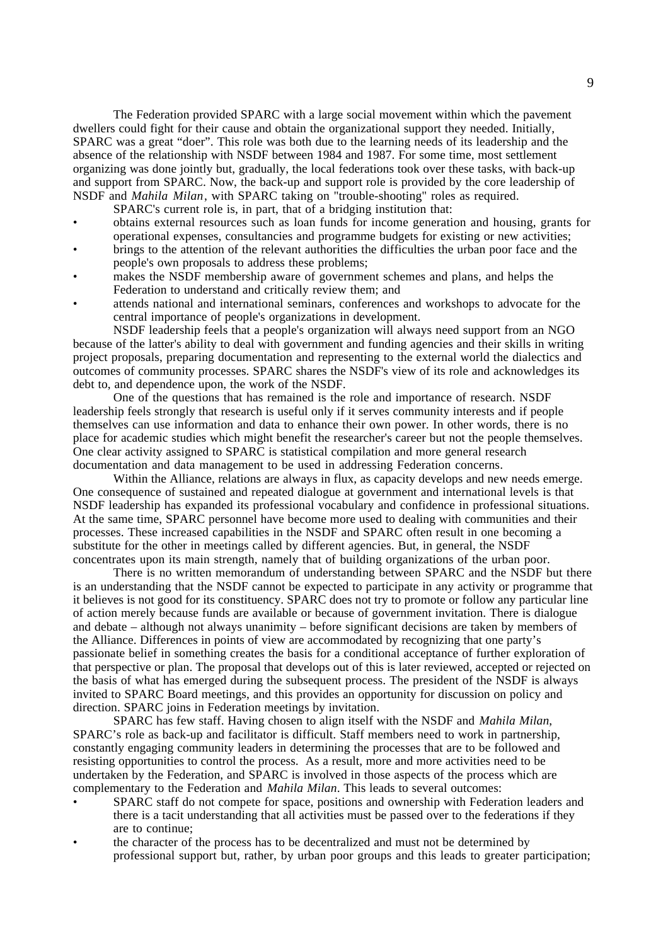The Federation provided SPARC with a large social movement within which the pavement dwellers could fight for their cause and obtain the organizational support they needed. Initially, SPARC was a great "doer". This role was both due to the learning needs of its leadership and the absence of the relationship with NSDF between 1984 and 1987. For some time, most settlement organizing was done jointly but, gradually, the local federations took over these tasks, with back-up and support from SPARC. Now, the back-up and support role is provided by the core leadership of NSDF and *Mahila Milan*, with SPARC taking on "trouble-shooting" roles as required.

SPARC's current role is, in part, that of a bridging institution that:

- obtains external resources such as loan funds for income generation and housing, grants for operational expenses, consultancies and programme budgets for existing or new activities;
- brings to the attention of the relevant authorities the difficulties the urban poor face and the people's own proposals to address these problems;
- makes the NSDF membership aware of government schemes and plans, and helps the Federation to understand and critically review them; and
- attends national and international seminars, conferences and workshops to advocate for the central importance of people's organizations in development.

NSDF leadership feels that a people's organization will always need support from an NGO because of the latter's ability to deal with government and funding agencies and their skills in writing project proposals, preparing documentation and representing to the external world the dialectics and outcomes of community processes. SPARC shares the NSDF's view of its role and acknowledges its debt to, and dependence upon, the work of the NSDF.

One of the questions that has remained is the role and importance of research. NSDF leadership feels strongly that research is useful only if it serves community interests and if people themselves can use information and data to enhance their own power. In other words, there is no place for academic studies which might benefit the researcher's career but not the people themselves. One clear activity assigned to SPARC is statistical compilation and more general research documentation and data management to be used in addressing Federation concerns.

Within the Alliance, relations are always in flux, as capacity develops and new needs emerge. One consequence of sustained and repeated dialogue at government and international levels is that NSDF leadership has expanded its professional vocabulary and confidence in professional situations. At the same time, SPARC personnel have become more used to dealing with communities and their processes. These increased capabilities in the NSDF and SPARC often result in one becoming a substitute for the other in meetings called by different agencies. But, in general, the NSDF concentrates upon its main strength, namely that of building organizations of the urban poor.

There is no written memorandum of understanding between SPARC and the NSDF but there is an understanding that the NSDF cannot be expected to participate in any activity or programme that it believes is not good for its constituency. SPARC does not try to promote or follow any particular line of action merely because funds are available or because of government invitation. There is dialogue and debate – although not always unanimity – before significant decisions are taken by members of the Alliance. Differences in points of view are accommodated by recognizing that one party's passionate belief in something creates the basis for a conditional acceptance of further exploration of that perspective or plan. The proposal that develops out of this is later reviewed, accepted or rejected on the basis of what has emerged during the subsequent process. The president of the NSDF is always invited to SPARC Board meetings, and this provides an opportunity for discussion on policy and direction. SPARC joins in Federation meetings by invitation.

SPARC has few staff. Having chosen to align itself with the NSDF and *Mahila Milan*, SPARC's role as back-up and facilitator is difficult. Staff members need to work in partnership, constantly engaging community leaders in determining the processes that are to be followed and resisting opportunities to control the process. As a result, more and more activities need to be undertaken by the Federation, and SPARC is involved in those aspects of the process which are complementary to the Federation and *Mahila Milan*. This leads to several outcomes:

- SPARC staff do not compete for space, positions and ownership with Federation leaders and there is a tacit understanding that all activities must be passed over to the federations if they are to continue;
- the character of the process has to be decentralized and must not be determined by professional support but, rather, by urban poor groups and this leads to greater participation;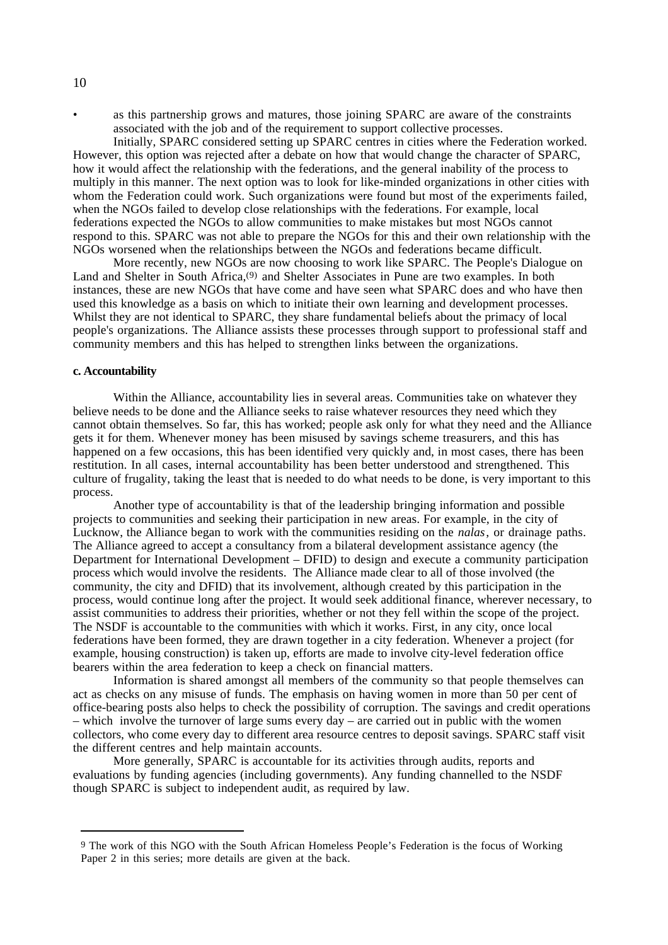as this partnership grows and matures, those joining SPARC are aware of the constraints associated with the job and of the requirement to support collective processes.

Initially, SPARC considered setting up SPARC centres in cities where the Federation worked. However, this option was rejected after a debate on how that would change the character of SPARC, how it would affect the relationship with the federations, and the general inability of the process to multiply in this manner. The next option was to look for like-minded organizations in other cities with whom the Federation could work. Such organizations were found but most of the experiments failed, when the NGOs failed to develop close relationships with the federations. For example, local federations expected the NGOs to allow communities to make mistakes but most NGOs cannot respond to this. SPARC was not able to prepare the NGOs for this and their own relationship with the NGOs worsened when the relationships between the NGOs and federations became difficult.

More recently, new NGOs are now choosing to work like SPARC. The People's Dialogue on Land and Shelter in South Africa,<sup>(9)</sup> and Shelter Associates in Pune are two examples. In both instances, these are new NGOs that have come and have seen what SPARC does and who have then used this knowledge as a basis on which to initiate their own learning and development processes. Whilst they are not identical to SPARC, they share fundamental beliefs about the primacy of local people's organizations. The Alliance assists these processes through support to professional staff and community members and this has helped to strengthen links between the organizations.

#### **c. Accountability**

Within the Alliance, accountability lies in several areas. Communities take on whatever they believe needs to be done and the Alliance seeks to raise whatever resources they need which they cannot obtain themselves. So far, this has worked; people ask only for what they need and the Alliance gets it for them. Whenever money has been misused by savings scheme treasurers, and this has happened on a few occasions, this has been identified very quickly and, in most cases, there has been restitution. In all cases, internal accountability has been better understood and strengthened. This culture of frugality, taking the least that is needed to do what needs to be done, is very important to this process.

Another type of accountability is that of the leadership bringing information and possible projects to communities and seeking their participation in new areas. For example, in the city of Lucknow, the Alliance began to work with the communities residing on the *nalas*, or drainage paths. The Alliance agreed to accept a consultancy from a bilateral development assistance agency (the Department for International Development – DFID) to design and execute a community participation process which would involve the residents. The Alliance made clear to all of those involved (the community, the city and DFID) that its involvement, although created by this participation in the process, would continue long after the project. It would seek additional finance, wherever necessary, to assist communities to address their priorities, whether or not they fell within the scope of the project. The NSDF is accountable to the communities with which it works. First, in any city, once local federations have been formed, they are drawn together in a city federation. Whenever a project (for example, housing construction) is taken up, efforts are made to involve city-level federation office bearers within the area federation to keep a check on financial matters.

Information is shared amongst all members of the community so that people themselves can act as checks on any misuse of funds. The emphasis on having women in more than 50 per cent of office-bearing posts also helps to check the possibility of corruption. The savings and credit operations – which involve the turnover of large sums every day – are carried out in public with the women collectors, who come every day to different area resource centres to deposit savings. SPARC staff visit the different centres and help maintain accounts.

More generally, SPARC is accountable for its activities through audits, reports and evaluations by funding agencies (including governments). Any funding channelled to the NSDF though SPARC is subject to independent audit, as required by law.

#### 10

<sup>9</sup> The work of this NGO with the South African Homeless People's Federation is the focus of Working Paper 2 in this series; more details are given at the back.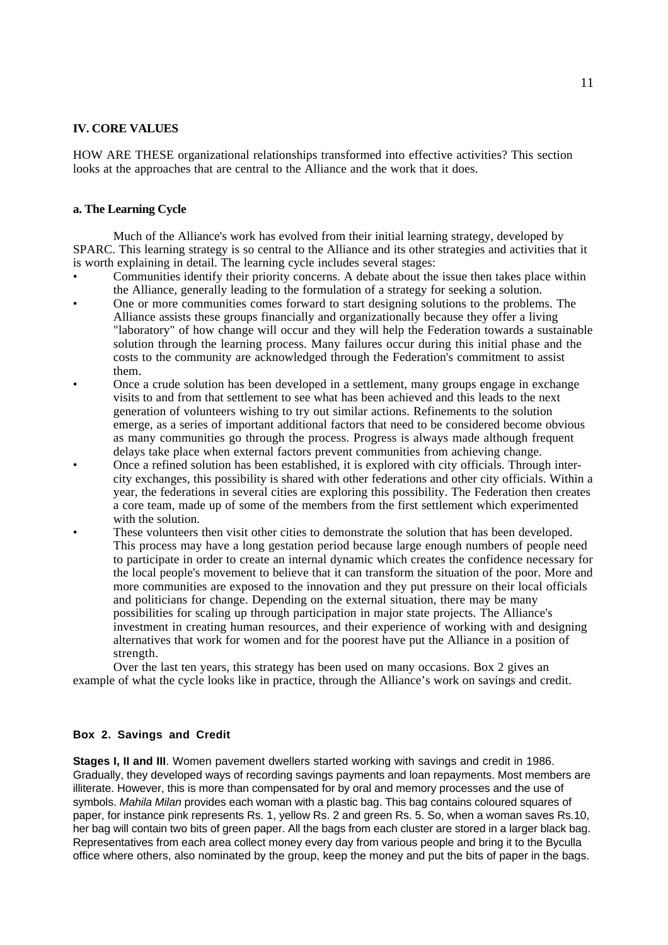## **IV. CORE VALUES**

HOW ARE THESE organizational relationships transformed into effective activities? This section looks at the approaches that are central to the Alliance and the work that it does.

#### **a. The Learning Cycle**

Much of the Alliance's work has evolved from their initial learning strategy, developed by SPARC. This learning strategy is so central to the Alliance and its other strategies and activities that it is worth explaining in detail. The learning cycle includes several stages:

- Communities identify their priority concerns. A debate about the issue then takes place within the Alliance, generally leading to the formulation of a strategy for seeking a solution.
- One or more communities comes forward to start designing solutions to the problems. The Alliance assists these groups financially and organizationally because they offer a living "laboratory" of how change will occur and they will help the Federation towards a sustainable solution through the learning process. Many failures occur during this initial phase and the costs to the community are acknowledged through the Federation's commitment to assist them.
- Once a crude solution has been developed in a settlement, many groups engage in exchange visits to and from that settlement to see what has been achieved and this leads to the next generation of volunteers wishing to try out similar actions. Refinements to the solution emerge, as a series of important additional factors that need to be considered become obvious as many communities go through the process. Progress is always made although frequent delays take place when external factors prevent communities from achieving change.
- Once a refined solution has been established, it is explored with city officials. Through intercity exchanges, this possibility is shared with other federations and other city officials. Within a year, the federations in several cities are exploring this possibility. The Federation then creates a core team, made up of some of the members from the first settlement which experimented with the solution.
	- These volunteers then visit other cities to demonstrate the solution that has been developed. This process may have a long gestation period because large enough numbers of people need to participate in order to create an internal dynamic which creates the confidence necessary for the local people's movement to believe that it can transform the situation of the poor. More and more communities are exposed to the innovation and they put pressure on their local officials and politicians for change. Depending on the external situation, there may be many possibilities for scaling up through participation in major state projects. The Alliance's investment in creating human resources, and their experience of working with and designing alternatives that work for women and for the poorest have put the Alliance in a position of strength.

Over the last ten years, this strategy has been used on many occasions. Box 2 gives an example of what the cycle looks like in practice, through the Alliance's work on savings and credit.

## **Box 2. Savings and Credit**

**Stages I, II and III**. Women pavement dwellers started working with savings and credit in 1986. Gradually, they developed ways of recording savings payments and loan repayments. Most members are illiterate. However, this is more than compensated for by oral and memory processes and the use of symbols. Mahila Milan provides each woman with a plastic bag. This bag contains coloured squares of paper, for instance pink represents Rs. 1, yellow Rs. 2 and green Rs. 5. So, when a woman saves Rs.10, her bag will contain two bits of green paper. All the bags from each cluster are stored in a larger black bag. Representatives from each area collect money every day from various people and bring it to the Byculla office where others, also nominated by the group, keep the money and put the bits of paper in the bags.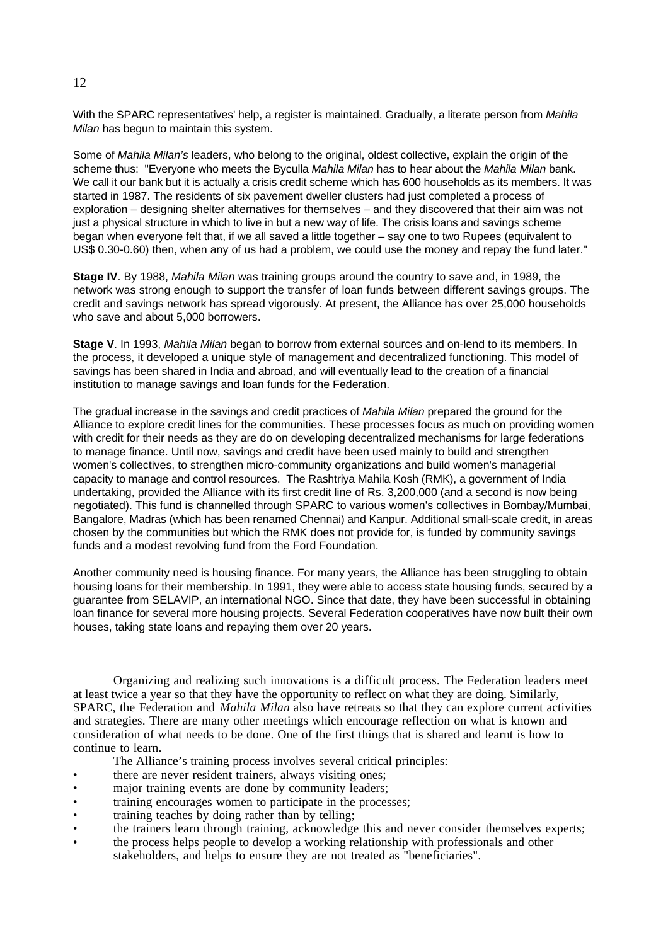With the SPARC representatives' help, a register is maintained. Gradually, a literate person from Mahila Milan has begun to maintain this system.

Some of Mahila Milan's leaders, who belong to the original, oldest collective, explain the origin of the scheme thus: "Everyone who meets the Byculla Mahila Milan has to hear about the Mahila Milan bank. We call it our bank but it is actually a crisis credit scheme which has 600 households as its members. It was started in 1987. The residents of six pavement dweller clusters had just completed a process of exploration – designing shelter alternatives for themselves – and they discovered that their aim was not just a physical structure in which to live in but a new way of life. The crisis loans and savings scheme began when everyone felt that, if we all saved a little together – say one to two Rupees (equivalent to US\$ 0.30-0.60) then, when any of us had a problem, we could use the money and repay the fund later."

**Stage IV**. By 1988, Mahila Milan was training groups around the country to save and, in 1989, the network was strong enough to support the transfer of loan funds between different savings groups. The credit and savings network has spread vigorously. At present, the Alliance has over 25,000 households who save and about 5,000 borrowers.

**Stage V**. In 1993, Mahila Milan began to borrow from external sources and on-lend to its members. In the process, it developed a unique style of management and decentralized functioning. This model of savings has been shared in India and abroad, and will eventually lead to the creation of a financial institution to manage savings and loan funds for the Federation.

The gradual increase in the savings and credit practices of Mahila Milan prepared the ground for the Alliance to explore credit lines for the communities. These processes focus as much on providing women with credit for their needs as they are do on developing decentralized mechanisms for large federations to manage finance. Until now, savings and credit have been used mainly to build and strengthen women's collectives, to strengthen micro-community organizations and build women's managerial capacity to manage and control resources. The Rashtriya Mahila Kosh (RMK), a government of India undertaking, provided the Alliance with its first credit line of Rs. 3,200,000 (and a second is now being negotiated). This fund is channelled through SPARC to various women's collectives in Bombay/Mumbai, Bangalore, Madras (which has been renamed Chennai) and Kanpur. Additional small-scale credit, in areas chosen by the communities but which the RMK does not provide for, is funded by community savings funds and a modest revolving fund from the Ford Foundation.

Another community need is housing finance. For many years, the Alliance has been struggling to obtain housing loans for their membership. In 1991, they were able to access state housing funds, secured by a guarantee from SELAVIP, an international NGO. Since that date, they have been successful in obtaining loan finance for several more housing projects. Several Federation cooperatives have now built their own houses, taking state loans and repaying them over 20 years.

Organizing and realizing such innovations is a difficult process. The Federation leaders meet at least twice a year so that they have the opportunity to reflect on what they are doing. Similarly, SPARC, the Federation and *Mahila Milan* also have retreats so that they can explore current activities and strategies. There are many other meetings which encourage reflection on what is known and consideration of what needs to be done. One of the first things that is shared and learnt is how to continue to learn.

- The Alliance's training process involves several critical principles:
- there are never resident trainers, always visiting ones;
- major training events are done by community leaders;
- training encourages women to participate in the processes;
- training teaches by doing rather than by telling;
- the trainers learn through training, acknowledge this and never consider themselves experts;
- the process helps people to develop a working relationship with professionals and other stakeholders, and helps to ensure they are not treated as "beneficiaries".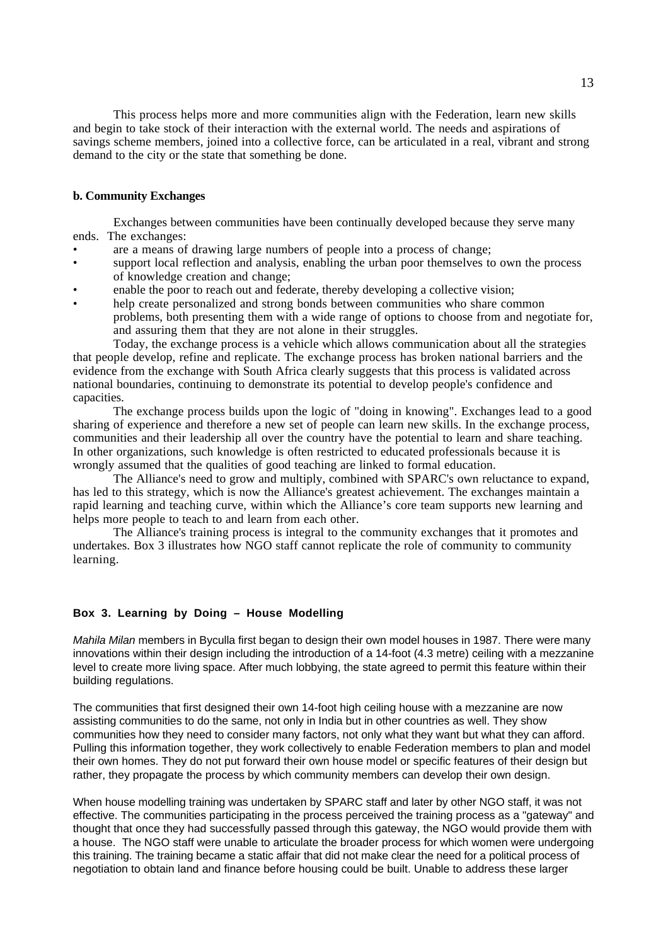This process helps more and more communities align with the Federation, learn new skills and begin to take stock of their interaction with the external world. The needs and aspirations of savings scheme members, joined into a collective force, can be articulated in a real, vibrant and strong demand to the city or the state that something be done.

## **b. Community Exchanges**

Exchanges between communities have been continually developed because they serve many ends. The exchanges:

- are a means of drawing large numbers of people into a process of change;
- support local reflection and analysis, enabling the urban poor themselves to own the process of knowledge creation and change;
- enable the poor to reach out and federate, thereby developing a collective vision;
- help create personalized and strong bonds between communities who share common problems, both presenting them with a wide range of options to choose from and negotiate for, and assuring them that they are not alone in their struggles.

Today, the exchange process is a vehicle which allows communication about all the strategies that people develop, refine and replicate. The exchange process has broken national barriers and the evidence from the exchange with South Africa clearly suggests that this process is validated across national boundaries, continuing to demonstrate its potential to develop people's confidence and capacities.

The exchange process builds upon the logic of "doing in knowing". Exchanges lead to a good sharing of experience and therefore a new set of people can learn new skills. In the exchange process, communities and their leadership all over the country have the potential to learn and share teaching. In other organizations, such knowledge is often restricted to educated professionals because it is wrongly assumed that the qualities of good teaching are linked to formal education.

The Alliance's need to grow and multiply, combined with SPARC's own reluctance to expand, has led to this strategy, which is now the Alliance's greatest achievement. The exchanges maintain a rapid learning and teaching curve, within which the Alliance's core team supports new learning and helps more people to teach to and learn from each other.

The Alliance's training process is integral to the community exchanges that it promotes and undertakes. Box 3 illustrates how NGO staff cannot replicate the role of community to community learning.

## **Box 3. Learning by Doing – House Modelling**

Mahila Milan members in Byculla first began to design their own model houses in 1987. There were many innovations within their design including the introduction of a 14-foot (4.3 metre) ceiling with a mezzanine level to create more living space. After much lobbying, the state agreed to permit this feature within their building regulations.

The communities that first designed their own 14-foot high ceiling house with a mezzanine are now assisting communities to do the same, not only in India but in other countries as well. They show communities how they need to consider many factors, not only what they want but what they can afford. Pulling this information together, they work collectively to enable Federation members to plan and model their own homes. They do not put forward their own house model or specific features of their design but rather, they propagate the process by which community members can develop their own design.

When house modelling training was undertaken by SPARC staff and later by other NGO staff, it was not effective. The communities participating in the process perceived the training process as a "gateway" and thought that once they had successfully passed through this gateway, the NGO would provide them with a house. The NGO staff were unable to articulate the broader process for which women were undergoing this training. The training became a static affair that did not make clear the need for a political process of negotiation to obtain land and finance before housing could be built. Unable to address these larger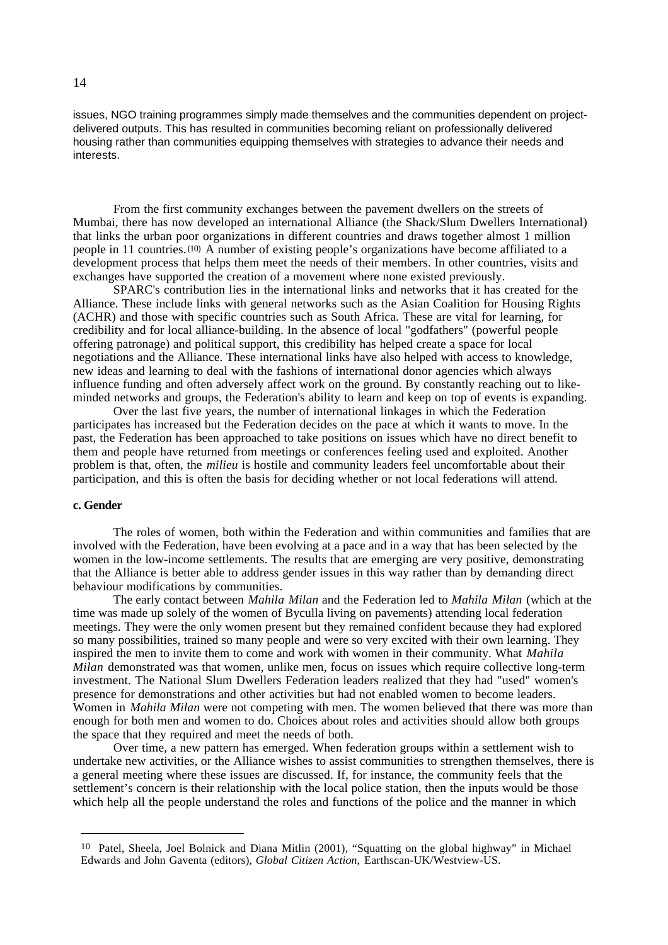issues, NGO training programmes simply made themselves and the communities dependent on projectdelivered outputs. This has resulted in communities becoming reliant on professionally delivered housing rather than communities equipping themselves with strategies to advance their needs and interests.

From the first community exchanges between the pavement dwellers on the streets of Mumbai, there has now developed an international Alliance (the Shack/Slum Dwellers International) that links the urban poor organizations in different countries and draws together almost 1 million people in 11 countries.(10) A number of existing people's organizations have become affiliated to a development process that helps them meet the needs of their members. In other countries, visits and exchanges have supported the creation of a movement where none existed previously.

SPARC's contribution lies in the international links and networks that it has created for the Alliance. These include links with general networks such as the Asian Coalition for Housing Rights (ACHR) and those with specific countries such as South Africa. These are vital for learning, for credibility and for local alliance-building. In the absence of local "godfathers" (powerful people offering patronage) and political support, this credibility has helped create a space for local negotiations and the Alliance. These international links have also helped with access to knowledge, new ideas and learning to deal with the fashions of international donor agencies which always influence funding and often adversely affect work on the ground. By constantly reaching out to likeminded networks and groups, the Federation's ability to learn and keep on top of events is expanding.

Over the last five years, the number of international linkages in which the Federation participates has increased but the Federation decides on the pace at which it wants to move. In the past, the Federation has been approached to take positions on issues which have no direct benefit to them and people have returned from meetings or conferences feeling used and exploited. Another problem is that, often, the *milieu* is hostile and community leaders feel uncomfortable about their participation, and this is often the basis for deciding whether or not local federations will attend.

#### **c. Gender**

The roles of women, both within the Federation and within communities and families that are involved with the Federation, have been evolving at a pace and in a way that has been selected by the women in the low-income settlements. The results that are emerging are very positive, demonstrating that the Alliance is better able to address gender issues in this way rather than by demanding direct behaviour modifications by communities.

The early contact between *Mahila Milan* and the Federation led to *Mahila Milan* (which at the time was made up solely of the women of Byculla living on pavements) attending local federation meetings. They were the only women present but they remained confident because they had explored so many possibilities, trained so many people and were so very excited with their own learning. They inspired the men to invite them to come and work with women in their community. What *Mahila Milan* demonstrated was that women, unlike men, focus on issues which require collective long-term investment. The National Slum Dwellers Federation leaders realized that they had "used" women's presence for demonstrations and other activities but had not enabled women to become leaders. Women in *Mahila Milan* were not competing with men. The women believed that there was more than enough for both men and women to do. Choices about roles and activities should allow both groups the space that they required and meet the needs of both.

Over time, a new pattern has emerged. When federation groups within a settlement wish to undertake new activities, or the Alliance wishes to assist communities to strengthen themselves, there is a general meeting where these issues are discussed. If, for instance, the community feels that the settlement's concern is their relationship with the local police station, then the inputs would be those which help all the people understand the roles and functions of the police and the manner in which

<sup>10</sup> Patel, Sheela, Joel Bolnick and Diana Mitlin (2001), "Squatting on the global highway" in Michael Edwards and John Gaventa (editors), *Global Citizen Action*, Earthscan-UK/Westview-US.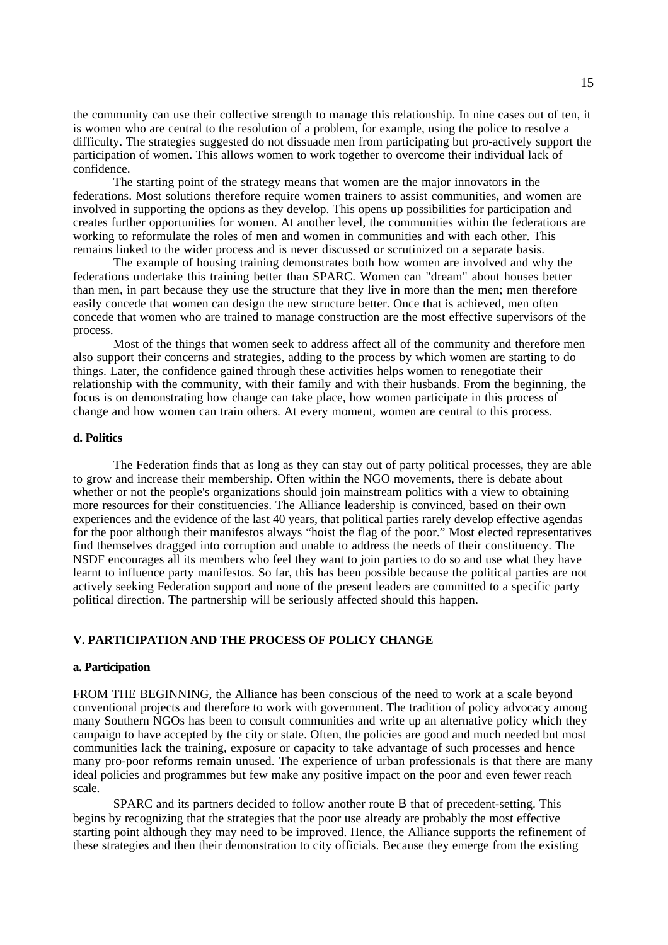the community can use their collective strength to manage this relationship. In nine cases out of ten, it is women who are central to the resolution of a problem, for example, using the police to resolve a difficulty. The strategies suggested do not dissuade men from participating but pro-actively support the participation of women. This allows women to work together to overcome their individual lack of confidence.

The starting point of the strategy means that women are the major innovators in the federations. Most solutions therefore require women trainers to assist communities, and women are involved in supporting the options as they develop. This opens up possibilities for participation and creates further opportunities for women. At another level, the communities within the federations are working to reformulate the roles of men and women in communities and with each other. This remains linked to the wider process and is never discussed or scrutinized on a separate basis.

The example of housing training demonstrates both how women are involved and why the federations undertake this training better than SPARC. Women can "dream" about houses better than men, in part because they use the structure that they live in more than the men; men therefore easily concede that women can design the new structure better. Once that is achieved, men often concede that women who are trained to manage construction are the most effective supervisors of the process.

Most of the things that women seek to address affect all of the community and therefore men also support their concerns and strategies, adding to the process by which women are starting to do things. Later, the confidence gained through these activities helps women to renegotiate their relationship with the community, with their family and with their husbands. From the beginning, the focus is on demonstrating how change can take place, how women participate in this process of change and how women can train others. At every moment, women are central to this process.

### **d. Politics**

The Federation finds that as long as they can stay out of party political processes, they are able to grow and increase their membership. Often within the NGO movements, there is debate about whether or not the people's organizations should join mainstream politics with a view to obtaining more resources for their constituencies. The Alliance leadership is convinced, based on their own experiences and the evidence of the last 40 years, that political parties rarely develop effective agendas for the poor although their manifestos always "hoist the flag of the poor." Most elected representatives find themselves dragged into corruption and unable to address the needs of their constituency. The NSDF encourages all its members who feel they want to join parties to do so and use what they have learnt to influence party manifestos. So far, this has been possible because the political parties are not actively seeking Federation support and none of the present leaders are committed to a specific party political direction. The partnership will be seriously affected should this happen.

## **V. PARTICIPATION AND THE PROCESS OF POLICY CHANGE**

#### **a. Participation**

FROM THE BEGINNING, the Alliance has been conscious of the need to work at a scale beyond conventional projects and therefore to work with government. The tradition of policy advocacy among many Southern NGOs has been to consult communities and write up an alternative policy which they campaign to have accepted by the city or state. Often, the policies are good and much needed but most communities lack the training, exposure or capacity to take advantage of such processes and hence many pro-poor reforms remain unused. The experience of urban professionals is that there are many ideal policies and programmes but few make any positive impact on the poor and even fewer reach scale.

SPARC and its partners decided to follow another route B that of precedent-setting. This begins by recognizing that the strategies that the poor use already are probably the most effective starting point although they may need to be improved. Hence, the Alliance supports the refinement of these strategies and then their demonstration to city officials. Because they emerge from the existing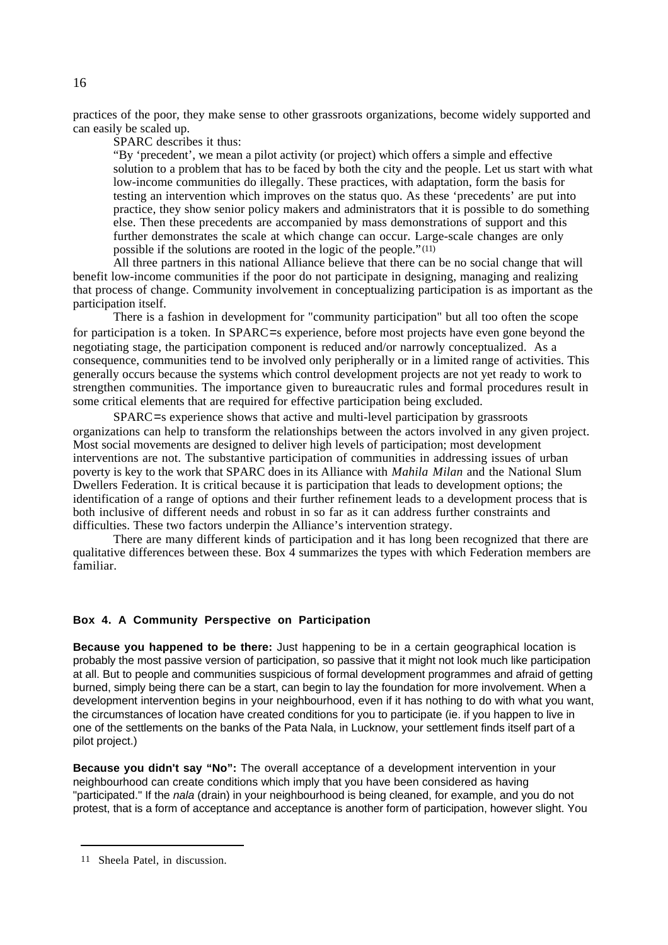practices of the poor, they make sense to other grassroots organizations, become widely supported and can easily be scaled up.

SPARC describes it thus:

"By 'precedent', we mean a pilot activity (or project) which offers a simple and effective solution to a problem that has to be faced by both the city and the people. Let us start with what low-income communities do illegally. These practices, with adaptation, form the basis for testing an intervention which improves on the status quo. As these 'precedents' are put into practice, they show senior policy makers and administrators that it is possible to do something else. Then these precedents are accompanied by mass demonstrations of support and this further demonstrates the scale at which change can occur. Large-scale changes are only possible if the solutions are rooted in the logic of the people."(11)

All three partners in this national Alliance believe that there can be no social change that will benefit low-income communities if the poor do not participate in designing, managing and realizing that process of change. Community involvement in conceptualizing participation is as important as the participation itself.

There is a fashion in development for "community participation" but all too often the scope for participation is a token. In SPARC=s experience, before most projects have even gone beyond the negotiating stage, the participation component is reduced and/or narrowly conceptualized. As a consequence, communities tend to be involved only peripherally or in a limited range of activities. This generally occurs because the systems which control development projects are not yet ready to work to strengthen communities. The importance given to bureaucratic rules and formal procedures result in some critical elements that are required for effective participation being excluded.

SPARC=s experience shows that active and multi-level participation by grassroots organizations can help to transform the relationships between the actors involved in any given project. Most social movements are designed to deliver high levels of participation; most development interventions are not. The substantive participation of communities in addressing issues of urban poverty is key to the work that SPARC does in its Alliance with *Mahila Milan* and the National Slum Dwellers Federation. It is critical because it is participation that leads to development options; the identification of a range of options and their further refinement leads to a development process that is both inclusive of different needs and robust in so far as it can address further constraints and difficulties. These two factors underpin the Alliance's intervention strategy.

There are many different kinds of participation and it has long been recognized that there are qualitative differences between these. Box 4 summarizes the types with which Federation members are familiar.

## **Box 4. A Community Perspective on Participation**

**Because you happened to be there:** Just happening to be in a certain geographical location is probably the most passive version of participation, so passive that it might not look much like participation at all. But to people and communities suspicious of formal development programmes and afraid of getting burned, simply being there can be a start, can begin to lay the foundation for more involvement. When a development intervention begins in your neighbourhood, even if it has nothing to do with what you want, the circumstances of location have created conditions for you to participate (ie. if you happen to live in one of the settlements on the banks of the Pata Nala, in Lucknow, your settlement finds itself part of a pilot project.)

**Because you didn't say "No":** The overall acceptance of a development intervention in your neighbourhood can create conditions which imply that you have been considered as having "participated." If the nala (drain) in your neighbourhood is being cleaned, for example, and you do not protest, that is a form of acceptance and acceptance is another form of participation, however slight. You

<sup>11</sup> Sheela Patel, in discussion.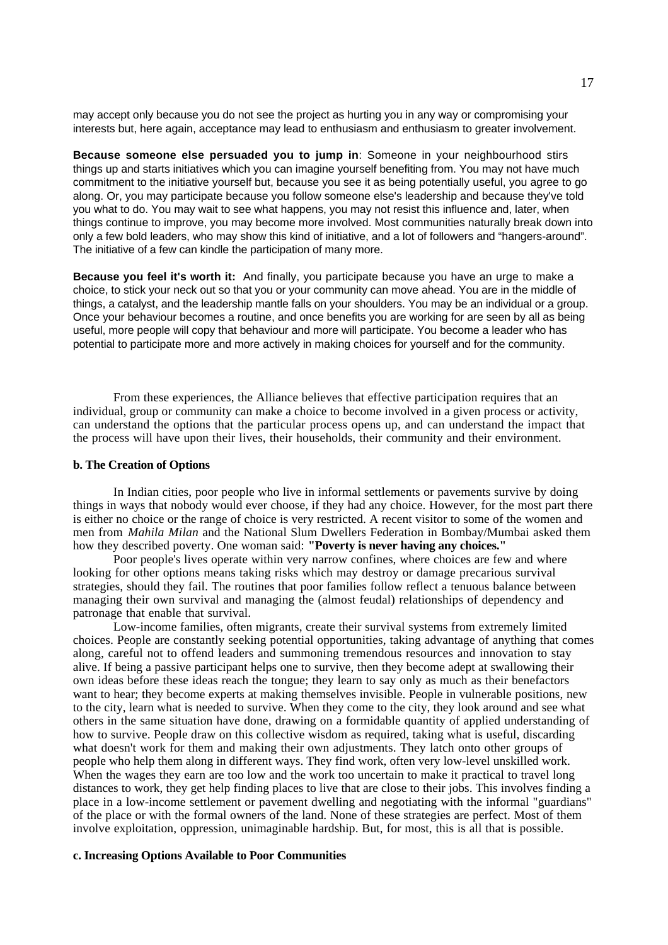may accept only because you do not see the project as hurting you in any way or compromising your interests but, here again, acceptance may lead to enthusiasm and enthusiasm to greater involvement.

**Because someone else persuaded you to jump in**: Someone in your neighbourhood stirs things up and starts initiatives which you can imagine yourself benefiting from. You may not have much commitment to the initiative yourself but, because you see it as being potentially useful, you agree to go along. Or, you may participate because you follow someone else's leadership and because they've told you what to do. You may wait to see what happens, you may not resist this influence and, later, when things continue to improve, you may become more involved. Most communities naturally break down into only a few bold leaders, who may show this kind of initiative, and a lot of followers and "hangers-around". The initiative of a few can kindle the participation of many more.

**Because you feel it's worth it:** And finally, you participate because you have an urge to make a choice, to stick your neck out so that you or your community can move ahead. You are in the middle of things, a catalyst, and the leadership mantle falls on your shoulders. You may be an individual or a group. Once your behaviour becomes a routine, and once benefits you are working for are seen by all as being useful, more people will copy that behaviour and more will participate. You become a leader who has potential to participate more and more actively in making choices for yourself and for the community.

From these experiences, the Alliance believes that effective participation requires that an individual, group or community can make a choice to become involved in a given process or activity, can understand the options that the particular process opens up, and can understand the impact that the process will have upon their lives, their households, their community and their environment.

## **b. The Creation of Options**

In Indian cities, poor people who live in informal settlements or pavements survive by doing things in ways that nobody would ever choose, if they had any choice. However, for the most part there is either no choice or the range of choice is very restricted. A recent visitor to some of the women and men from *Mahila Milan* and the National Slum Dwellers Federation in Bombay/Mumbai asked them how they described poverty. One woman said: **"Poverty is never having any choices."**

Poor people's lives operate within very narrow confines, where choices are few and where looking for other options means taking risks which may destroy or damage precarious survival strategies, should they fail. The routines that poor families follow reflect a tenuous balance between managing their own survival and managing the (almost feudal) relationships of dependency and patronage that enable that survival.

Low-income families, often migrants, create their survival systems from extremely limited choices. People are constantly seeking potential opportunities, taking advantage of anything that comes along, careful not to offend leaders and summoning tremendous resources and innovation to stay alive. If being a passive participant helps one to survive, then they become adept at swallowing their own ideas before these ideas reach the tongue; they learn to say only as much as their benefactors want to hear; they become experts at making themselves invisible. People in vulnerable positions, new to the city, learn what is needed to survive. When they come to the city, they look around and see what others in the same situation have done, drawing on a formidable quantity of applied understanding of how to survive. People draw on this collective wisdom as required, taking what is useful, discarding what doesn't work for them and making their own adjustments. They latch onto other groups of people who help them along in different ways. They find work, often very low-level unskilled work. When the wages they earn are too low and the work too uncertain to make it practical to travel long distances to work, they get help finding places to live that are close to their jobs. This involves finding a place in a low-income settlement or pavement dwelling and negotiating with the informal "guardians" of the place or with the formal owners of the land. None of these strategies are perfect. Most of them involve exploitation, oppression, unimaginable hardship. But, for most, this is all that is possible.

#### **c. Increasing Options Available to Poor Communities**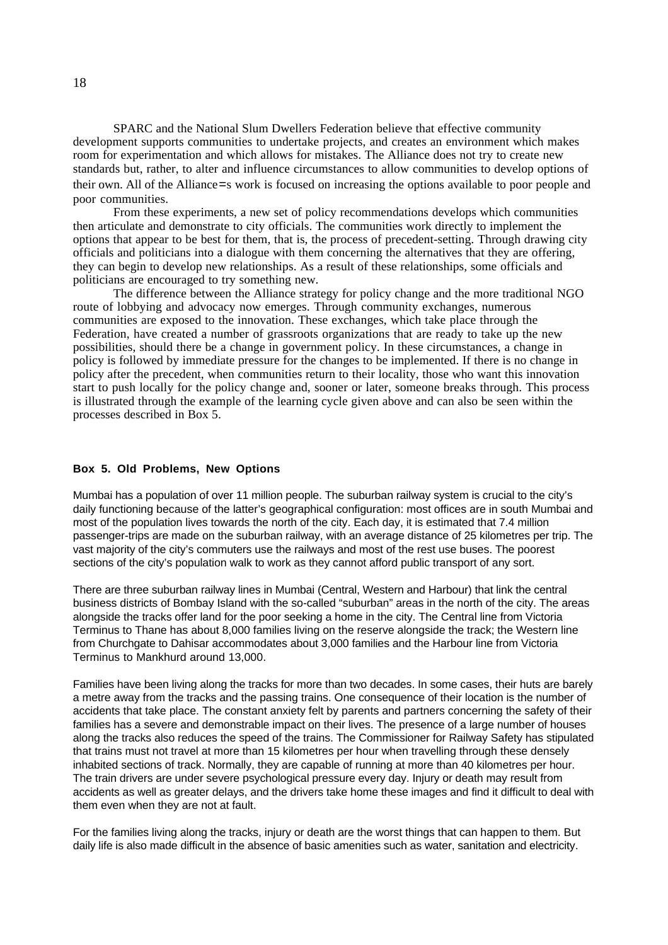SPARC and the National Slum Dwellers Federation believe that effective community development supports communities to undertake projects, and creates an environment which makes room for experimentation and which allows for mistakes. The Alliance does not try to create new standards but, rather, to alter and influence circumstances to allow communities to develop options of their own. All of the Alliance=s work is focused on increasing the options available to poor people and poor communities.

From these experiments, a new set of policy recommendations develops which communities then articulate and demonstrate to city officials. The communities work directly to implement the options that appear to be best for them, that is, the process of precedent-setting. Through drawing city officials and politicians into a dialogue with them concerning the alternatives that they are offering, they can begin to develop new relationships. As a result of these relationships, some officials and politicians are encouraged to try something new.

The difference between the Alliance strategy for policy change and the more traditional NGO route of lobbying and advocacy now emerges. Through community exchanges, numerous communities are exposed to the innovation. These exchanges, which take place through the Federation, have created a number of grassroots organizations that are ready to take up the new possibilities, should there be a change in government policy. In these circumstances, a change in policy is followed by immediate pressure for the changes to be implemented. If there is no change in policy after the precedent, when communities return to their locality, those who want this innovation start to push locally for the policy change and, sooner or later, someone breaks through. This process is illustrated through the example of the learning cycle given above and can also be seen within the processes described in Box 5.

#### **Box 5. Old Problems, New Options**

Mumbai has a population of over 11 million people. The suburban railway system is crucial to the city's daily functioning because of the latter's geographical configuration: most offices are in south Mumbai and most of the population lives towards the north of the city. Each day, it is estimated that 7.4 million passenger-trips are made on the suburban railway, with an average distance of 25 kilometres per trip. The vast majority of the city's commuters use the railways and most of the rest use buses. The poorest sections of the city's population walk to work as they cannot afford public transport of any sort.

There are three suburban railway lines in Mumbai (Central, Western and Harbour) that link the central business districts of Bombay Island with the so-called "suburban" areas in the north of the city. The areas alongside the tracks offer land for the poor seeking a home in the city. The Central line from Victoria Terminus to Thane has about 8,000 families living on the reserve alongside the track; the Western line from Churchgate to Dahisar accommodates about 3,000 families and the Harbour line from Victoria Terminus to Mankhurd around 13,000.

Families have been living along the tracks for more than two decades. In some cases, their huts are barely a metre away from the tracks and the passing trains. One consequence of their location is the number of accidents that take place. The constant anxiety felt by parents and partners concerning the safety of their families has a severe and demonstrable impact on their lives. The presence of a large number of houses along the tracks also reduces the speed of the trains. The Commissioner for Railway Safety has stipulated that trains must not travel at more than 15 kilometres per hour when travelling through these densely inhabited sections of track. Normally, they are capable of running at more than 40 kilometres per hour. The train drivers are under severe psychological pressure every day. Injury or death may result from accidents as well as greater delays, and the drivers take home these images and find it difficult to deal with them even when they are not at fault.

For the families living along the tracks, injury or death are the worst things that can happen to them. But daily life is also made difficult in the absence of basic amenities such as water, sanitation and electricity.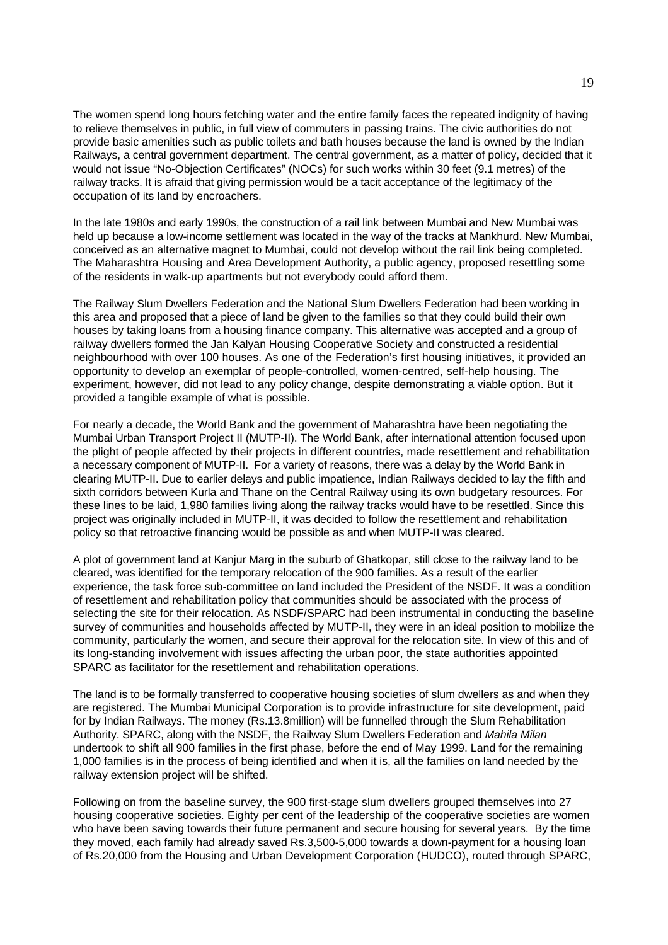The women spend long hours fetching water and the entire family faces the repeated indignity of having to relieve themselves in public, in full view of commuters in passing trains. The civic authorities do not provide basic amenities such as public toilets and bath houses because the land is owned by the Indian Railways, a central government department. The central government, as a matter of policy, decided that it would not issue "No-Objection Certificates" (NOCs) for such works within 30 feet (9.1 metres) of the railway tracks. It is afraid that giving permission would be a tacit acceptance of the legitimacy of the occupation of its land by encroachers.

In the late 1980s and early 1990s, the construction of a rail link between Mumbai and New Mumbai was held up because a low-income settlement was located in the way of the tracks at Mankhurd. New Mumbai, conceived as an alternative magnet to Mumbai, could not develop without the rail link being completed. The Maharashtra Housing and Area Development Authority, a public agency, proposed resettling some of the residents in walk-up apartments but not everybody could afford them.

The Railway Slum Dwellers Federation and the National Slum Dwellers Federation had been working in this area and proposed that a piece of land be given to the families so that they could build their own houses by taking loans from a housing finance company. This alternative was accepted and a group of railway dwellers formed the Jan Kalyan Housing Cooperative Society and constructed a residential neighbourhood with over 100 houses. As one of the Federation's first housing initiatives, it provided an opportunity to develop an exemplar of people-controlled, women-centred, self-help housing. The experiment, however, did not lead to any policy change, despite demonstrating a viable option. But it provided a tangible example of what is possible.

For nearly a decade, the World Bank and the government of Maharashtra have been negotiating the Mumbai Urban Transport Project II (MUTP-II). The World Bank, after international attention focused upon the plight of people affected by their projects in different countries, made resettlement and rehabilitation a necessary component of MUTP-II. For a variety of reasons, there was a delay by the World Bank in clearing MUTP-II. Due to earlier delays and public impatience, Indian Railways decided to lay the fifth and sixth corridors between Kurla and Thane on the Central Railway using its own budgetary resources. For these lines to be laid, 1,980 families living along the railway tracks would have to be resettled. Since this project was originally included in MUTP-II, it was decided to follow the resettlement and rehabilitation policy so that retroactive financing would be possible as and when MUTP-II was cleared.

A plot of government land at Kanjur Marg in the suburb of Ghatkopar, still close to the railway land to be cleared, was identified for the temporary relocation of the 900 families. As a result of the earlier experience, the task force sub-committee on land included the President of the NSDF. It was a condition of resettlement and rehabilitation policy that communities should be associated with the process of selecting the site for their relocation. As NSDF/SPARC had been instrumental in conducting the baseline survey of communities and households affected by MUTP-II, they were in an ideal position to mobilize the community, particularly the women, and secure their approval for the relocation site. In view of this and of its long-standing involvement with issues affecting the urban poor, the state authorities appointed SPARC as facilitator for the resettlement and rehabilitation operations.

The land is to be formally transferred to cooperative housing societies of slum dwellers as and when they are registered. The Mumbai Municipal Corporation is to provide infrastructure for site development, paid for by Indian Railways. The money (Rs.13.8million) will be funnelled through the Slum Rehabilitation Authority. SPARC, along with the NSDF, the Railway Slum Dwellers Federation and Mahila Milan undertook to shift all 900 families in the first phase, before the end of May 1999. Land for the remaining 1,000 families is in the process of being identified and when it is, all the families on land needed by the railway extension project will be shifted.

Following on from the baseline survey, the 900 first-stage slum dwellers grouped themselves into 27 housing cooperative societies. Eighty per cent of the leadership of the cooperative societies are women who have been saving towards their future permanent and secure housing for several years. By the time they moved, each family had already saved Rs.3,500-5,000 towards a down-payment for a housing loan of Rs.20,000 from the Housing and Urban Development Corporation (HUDCO), routed through SPARC,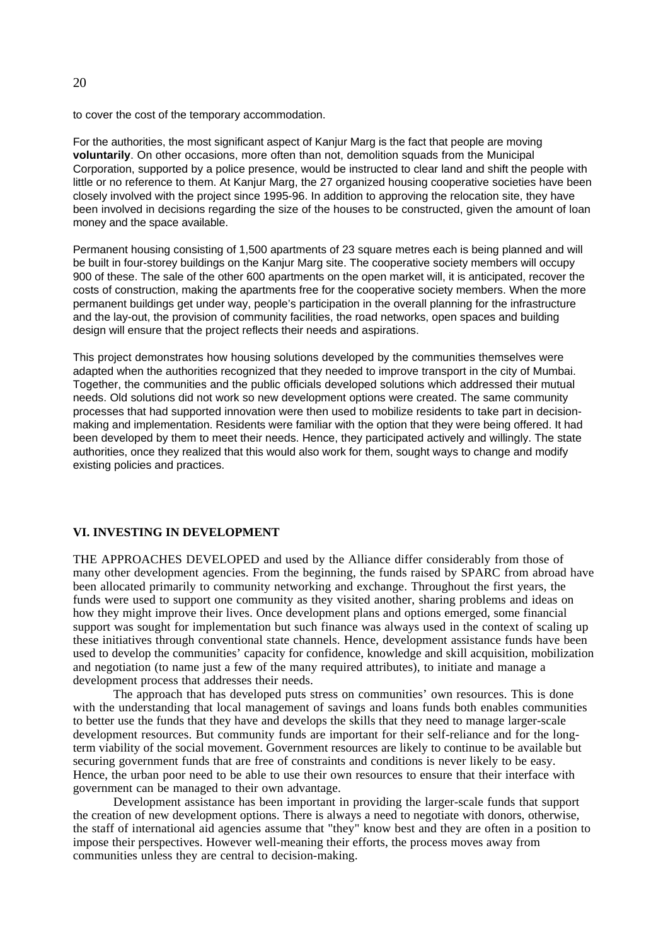to cover the cost of the temporary accommodation.

For the authorities, the most significant aspect of Kanjur Marg is the fact that people are moving **voluntarily**. On other occasions, more often than not, demolition squads from the Municipal Corporation, supported by a police presence, would be instructed to clear land and shift the people with little or no reference to them. At Kanjur Marg, the 27 organized housing cooperative societies have been closely involved with the project since 1995-96. In addition to approving the relocation site, they have been involved in decisions regarding the size of the houses to be constructed, given the amount of loan money and the space available.

Permanent housing consisting of 1,500 apartments of 23 square metres each is being planned and will be built in four-storey buildings on the Kanjur Marg site. The cooperative society members will occupy 900 of these. The sale of the other 600 apartments on the open market will, it is anticipated, recover the costs of construction, making the apartments free for the cooperative society members. When the more permanent buildings get under way, people's participation in the overall planning for the infrastructure and the lay-out, the provision of community facilities, the road networks, open spaces and building design will ensure that the project reflects their needs and aspirations.

This project demonstrates how housing solutions developed by the communities themselves were adapted when the authorities recognized that they needed to improve transport in the city of Mumbai. Together, the communities and the public officials developed solutions which addressed their mutual needs. Old solutions did not work so new development options were created. The same community processes that had supported innovation were then used to mobilize residents to take part in decisionmaking and implementation. Residents were familiar with the option that they were being offered. It had been developed by them to meet their needs. Hence, they participated actively and willingly. The state authorities, once they realized that this would also work for them, sought ways to change and modify existing policies and practices.

#### **VI. INVESTING IN DEVELOPMENT**

THE APPROACHES DEVELOPED and used by the Alliance differ considerably from those of many other development agencies. From the beginning, the funds raised by SPARC from abroad have been allocated primarily to community networking and exchange. Throughout the first years, the funds were used to support one community as they visited another, sharing problems and ideas on how they might improve their lives. Once development plans and options emerged, some financial support was sought for implementation but such finance was always used in the context of scaling up these initiatives through conventional state channels. Hence, development assistance funds have been used to develop the communities' capacity for confidence, knowledge and skill acquisition, mobilization and negotiation (to name just a few of the many required attributes), to initiate and manage a development process that addresses their needs.

The approach that has developed puts stress on communities' own resources. This is done with the understanding that local management of savings and loans funds both enables communities to better use the funds that they have and develops the skills that they need to manage larger-scale development resources. But community funds are important for their self-reliance and for the longterm viability of the social movement. Government resources are likely to continue to be available but securing government funds that are free of constraints and conditions is never likely to be easy. Hence, the urban poor need to be able to use their own resources to ensure that their interface with government can be managed to their own advantage.

Development assistance has been important in providing the larger-scale funds that support the creation of new development options. There is always a need to negotiate with donors, otherwise, the staff of international aid agencies assume that "they" know best and they are often in a position to impose their perspectives. However well-meaning their efforts, the process moves away from communities unless they are central to decision-making.

### $20$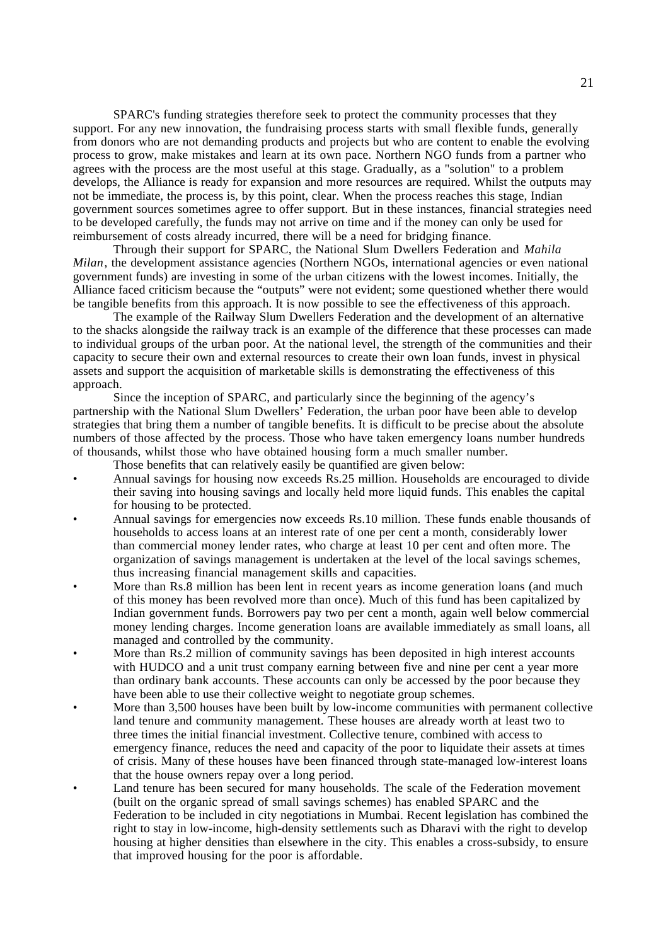SPARC's funding strategies therefore seek to protect the community processes that they support. For any new innovation, the fundraising process starts with small flexible funds, generally from donors who are not demanding products and projects but who are content to enable the evolving process to grow, make mistakes and learn at its own pace. Northern NGO funds from a partner who agrees with the process are the most useful at this stage. Gradually, as a "solution" to a problem develops, the Alliance is ready for expansion and more resources are required. Whilst the outputs may not be immediate, the process is, by this point, clear. When the process reaches this stage, Indian government sources sometimes agree to offer support. But in these instances, financial strategies need to be developed carefully, the funds may not arrive on time and if the money can only be used for reimbursement of costs already incurred, there will be a need for bridging finance.

Through their support for SPARC, the National Slum Dwellers Federation and *Mahila Milan*, the development assistance agencies (Northern NGOs, international agencies or even national government funds) are investing in some of the urban citizens with the lowest incomes. Initially, the Alliance faced criticism because the "outputs" were not evident; some questioned whether there would be tangible benefits from this approach. It is now possible to see the effectiveness of this approach.

The example of the Railway Slum Dwellers Federation and the development of an alternative to the shacks alongside the railway track is an example of the difference that these processes can made to individual groups of the urban poor. At the national level, the strength of the communities and their capacity to secure their own and external resources to create their own loan funds, invest in physical assets and support the acquisition of marketable skills is demonstrating the effectiveness of this approach.

Since the inception of SPARC, and particularly since the beginning of the agency's partnership with the National Slum Dwellers' Federation, the urban poor have been able to develop strategies that bring them a number of tangible benefits. It is difficult to be precise about the absolute numbers of those affected by the process. Those who have taken emergency loans number hundreds of thousands, whilst those who have obtained housing form a much smaller number.

Those benefits that can relatively easily be quantified are given below:

- Annual savings for housing now exceeds Rs.25 million. Households are encouraged to divide their saving into housing savings and locally held more liquid funds. This enables the capital for housing to be protected.
- Annual savings for emergencies now exceeds Rs.10 million. These funds enable thousands of households to access loans at an interest rate of one per cent a month, considerably lower than commercial money lender rates, who charge at least 10 per cent and often more. The organization of savings management is undertaken at the level of the local savings schemes, thus increasing financial management skills and capacities.
- More than Rs.8 million has been lent in recent years as income generation loans (and much of this money has been revolved more than once). Much of this fund has been capitalized by Indian government funds. Borrowers pay two per cent a month, again well below commercial money lending charges. Income generation loans are available immediately as small loans, all managed and controlled by the community.
- More than Rs.2 million of community savings has been deposited in high interest accounts with HUDCO and a unit trust company earning between five and nine per cent a year more than ordinary bank accounts. These accounts can only be accessed by the poor because they have been able to use their collective weight to negotiate group schemes.
- More than 3,500 houses have been built by low-income communities with permanent collective land tenure and community management. These houses are already worth at least two to three times the initial financial investment. Collective tenure, combined with access to emergency finance, reduces the need and capacity of the poor to liquidate their assets at times of crisis. Many of these houses have been financed through state-managed low-interest loans that the house owners repay over a long period.
- Land tenure has been secured for many households. The scale of the Federation movement (built on the organic spread of small savings schemes) has enabled SPARC and the Federation to be included in city negotiations in Mumbai. Recent legislation has combined the right to stay in low-income, high-density settlements such as Dharavi with the right to develop housing at higher densities than elsewhere in the city. This enables a cross-subsidy, to ensure that improved housing for the poor is affordable.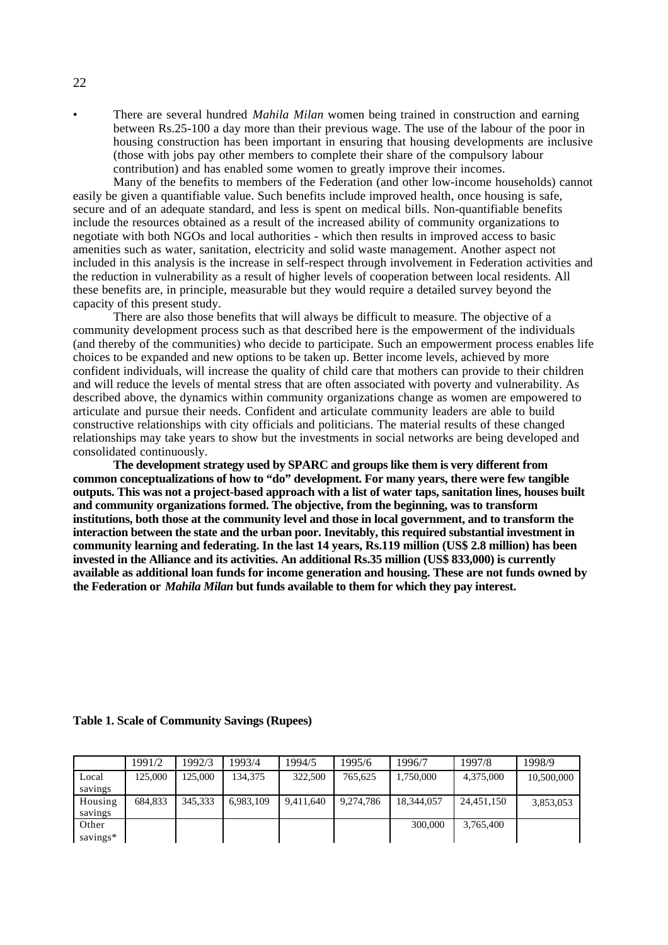• There are several hundred *Mahila Milan* women being trained in construction and earning between Rs.25-100 a day more than their previous wage. The use of the labour of the poor in housing construction has been important in ensuring that housing developments are inclusive (those with jobs pay other members to complete their share of the compulsory labour contribution) and has enabled some women to greatly improve their incomes.

Many of the benefits to members of the Federation (and other low-income households) cannot easily be given a quantifiable value. Such benefits include improved health, once housing is safe, secure and of an adequate standard, and less is spent on medical bills. Non-quantifiable benefits include the resources obtained as a result of the increased ability of community organizations to negotiate with both NGOs and local authorities - which then results in improved access to basic amenities such as water, sanitation, electricity and solid waste management. Another aspect not included in this analysis is the increase in self-respect through involvement in Federation activities and the reduction in vulnerability as a result of higher levels of cooperation between local residents. All these benefits are, in principle, measurable but they would require a detailed survey beyond the capacity of this present study.

There are also those benefits that will always be difficult to measure. The objective of a community development process such as that described here is the empowerment of the individuals (and thereby of the communities) who decide to participate. Such an empowerment process enables life choices to be expanded and new options to be taken up. Better income levels, achieved by more confident individuals, will increase the quality of child care that mothers can provide to their children and will reduce the levels of mental stress that are often associated with poverty and vulnerability. As described above, the dynamics within community organizations change as women are empowered to articulate and pursue their needs. Confident and articulate community leaders are able to build constructive relationships with city officials and politicians. The material results of these changed relationships may take years to show but the investments in social networks are being developed and consolidated continuously.

**The development strategy used by SPARC and groups like them is very different from common conceptualizations of how to "do" development. For many years, there were few tangible outputs. This was not a project-based approach with a list of water taps, sanitation lines, houses built and community organizations formed. The objective, from the beginning, was to transform institutions, both those at the community level and those in local government, and to transform the interaction between the state and the urban poor. Inevitably, this required substantial investment in community learning and federating. In the last 14 years, Rs.119 million (US\$ 2.8 million) has been invested in the Alliance and its activities. An additional Rs.35 million (US\$ 833,000) is currently available as additional loan funds for income generation and housing. These are not funds owned by the Federation or** *Mahila Milan* **but funds available to them for which they pay interest.**

|          | 1991/2  | 1992/3  | 1993/4    | 1994/5    | 1995/6    | 1996/7     | 1997/8     | 1998/9     |
|----------|---------|---------|-----------|-----------|-----------|------------|------------|------------|
| Local    | 125,000 | 125.000 | 134.375   | 322,500   | 765.625   | 1.750.000  | 4,375,000  | 10,500,000 |
| savings  |         |         |           |           |           |            |            |            |
| Housing  | 684.833 | 345.333 | 6,983,109 | 9,411,640 | 9.274.786 | 18,344,057 | 24.451.150 | 3,853,053  |
| savings  |         |         |           |           |           |            |            |            |
| Other    |         |         |           |           |           | 300,000    | 3.765.400  |            |
| savings* |         |         |           |           |           |            |            |            |

**Table 1. Scale of Community Savings (Rupees)**

22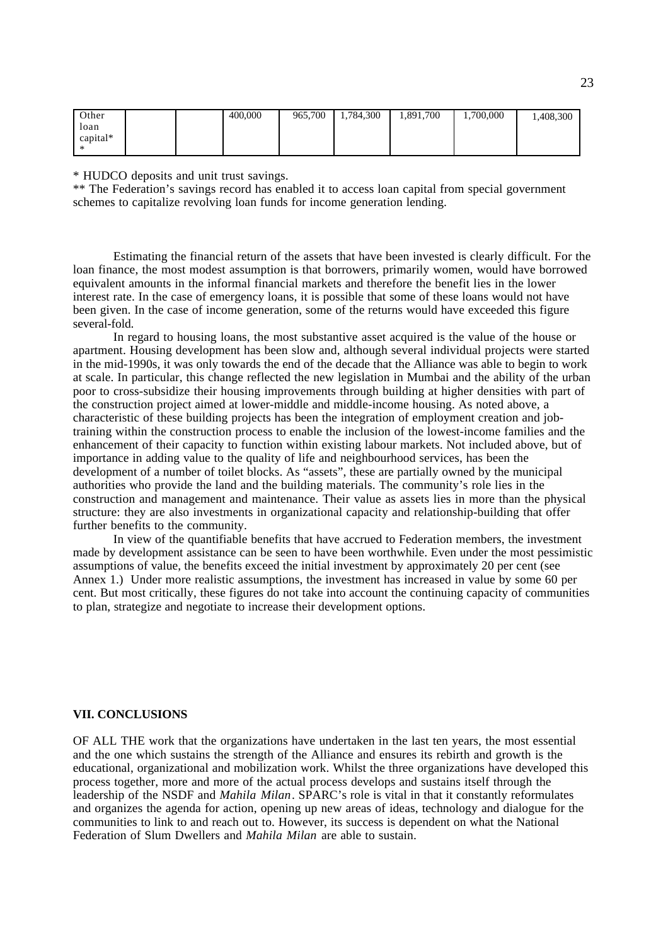| Other    |  | 400,000 | 965,700 | 784,300<br>1.7 | 1,891,700 | 1,700,000 | 1,408,300 |
|----------|--|---------|---------|----------------|-----------|-----------|-----------|
| loan     |  |         |         |                |           |           |           |
| capital* |  |         |         |                |           |           |           |
|          |  |         |         |                |           |           |           |

\* HUDCO deposits and unit trust savings.

\*\* The Federation's savings record has enabled it to access loan capital from special government schemes to capitalize revolving loan funds for income generation lending.

Estimating the financial return of the assets that have been invested is clearly difficult. For the loan finance, the most modest assumption is that borrowers, primarily women, would have borrowed equivalent amounts in the informal financial markets and therefore the benefit lies in the lower interest rate. In the case of emergency loans, it is possible that some of these loans would not have been given. In the case of income generation, some of the returns would have exceeded this figure several-fold.

In regard to housing loans, the most substantive asset acquired is the value of the house or apartment. Housing development has been slow and, although several individual projects were started in the mid-1990s, it was only towards the end of the decade that the Alliance was able to begin to work at scale. In particular, this change reflected the new legislation in Mumbai and the ability of the urban poor to cross-subsidize their housing improvements through building at higher densities with part of the construction project aimed at lower-middle and middle-income housing. As noted above, a characteristic of these building projects has been the integration of employment creation and jobtraining within the construction process to enable the inclusion of the lowest-income families and the enhancement of their capacity to function within existing labour markets. Not included above, but of importance in adding value to the quality of life and neighbourhood services, has been the development of a number of toilet blocks. As "assets", these are partially owned by the municipal authorities who provide the land and the building materials. The community's role lies in the construction and management and maintenance. Their value as assets lies in more than the physical structure: they are also investments in organizational capacity and relationship-building that offer further benefits to the community.

In view of the quantifiable benefits that have accrued to Federation members, the investment made by development assistance can be seen to have been worthwhile. Even under the most pessimistic assumptions of value, the benefits exceed the initial investment by approximately 20 per cent (see Annex 1.) Under more realistic assumptions, the investment has increased in value by some 60 per cent. But most critically, these figures do not take into account the continuing capacity of communities to plan, strategize and negotiate to increase their development options.

#### **VII. CONCLUSIONS**

OF ALL THE work that the organizations have undertaken in the last ten years, the most essential and the one which sustains the strength of the Alliance and ensures its rebirth and growth is the educational, organizational and mobilization work. Whilst the three organizations have developed this process together, more and more of the actual process develops and sustains itself through the leadership of the NSDF and *Mahila Milan*. SPARC's role is vital in that it constantly reformulates and organizes the agenda for action, opening up new areas of ideas, technology and dialogue for the communities to link to and reach out to. However, its success is dependent on what the National Federation of Slum Dwellers and *Mahila Milan* are able to sustain.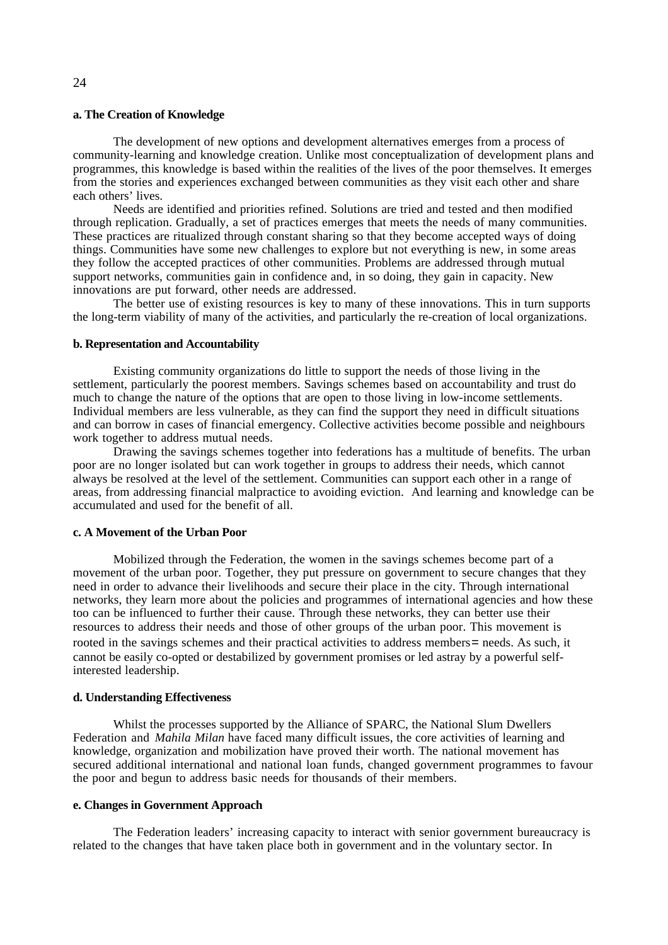#### **a. The Creation of Knowledge**

The development of new options and development alternatives emerges from a process of community-learning and knowledge creation. Unlike most conceptualization of development plans and programmes, this knowledge is based within the realities of the lives of the poor themselves. It emerges from the stories and experiences exchanged between communities as they visit each other and share each others' lives.

Needs are identified and priorities refined. Solutions are tried and tested and then modified through replication. Gradually, a set of practices emerges that meets the needs of many communities. These practices are ritualized through constant sharing so that they become accepted ways of doing things. Communities have some new challenges to explore but not everything is new, in some areas they follow the accepted practices of other communities. Problems are addressed through mutual support networks, communities gain in confidence and, in so doing, they gain in capacity. New innovations are put forward, other needs are addressed.

The better use of existing resources is key to many of these innovations. This in turn supports the long-term viability of many of the activities, and particularly the re-creation of local organizations.

#### **b. Representation and Accountability**

Existing community organizations do little to support the needs of those living in the settlement, particularly the poorest members. Savings schemes based on accountability and trust do much to change the nature of the options that are open to those living in low-income settlements. Individual members are less vulnerable, as they can find the support they need in difficult situations and can borrow in cases of financial emergency. Collective activities become possible and neighbours work together to address mutual needs.

Drawing the savings schemes together into federations has a multitude of benefits. The urban poor are no longer isolated but can work together in groups to address their needs, which cannot always be resolved at the level of the settlement. Communities can support each other in a range of areas, from addressing financial malpractice to avoiding eviction. And learning and knowledge can be accumulated and used for the benefit of all.

#### **c. A Movement of the Urban Poor**

Mobilized through the Federation, the women in the savings schemes become part of a movement of the urban poor. Together, they put pressure on government to secure changes that they need in order to advance their livelihoods and secure their place in the city. Through international networks, they learn more about the policies and programmes of international agencies and how these too can be influenced to further their cause. Through these networks, they can better use their resources to address their needs and those of other groups of the urban poor. This movement is rooted in the savings schemes and their practical activities to address members= needs. As such, it cannot be easily co-opted or destabilized by government promises or led astray by a powerful selfinterested leadership.

## **d. Understanding Effectiveness**

Whilst the processes supported by the Alliance of SPARC, the National Slum Dwellers Federation and *Mahila Milan* have faced many difficult issues, the core activities of learning and knowledge, organization and mobilization have proved their worth. The national movement has secured additional international and national loan funds, changed government programmes to favour the poor and begun to address basic needs for thousands of their members.

#### **e. Changes in Government Approach**

The Federation leaders' increasing capacity to interact with senior government bureaucracy is related to the changes that have taken place both in government and in the voluntary sector. In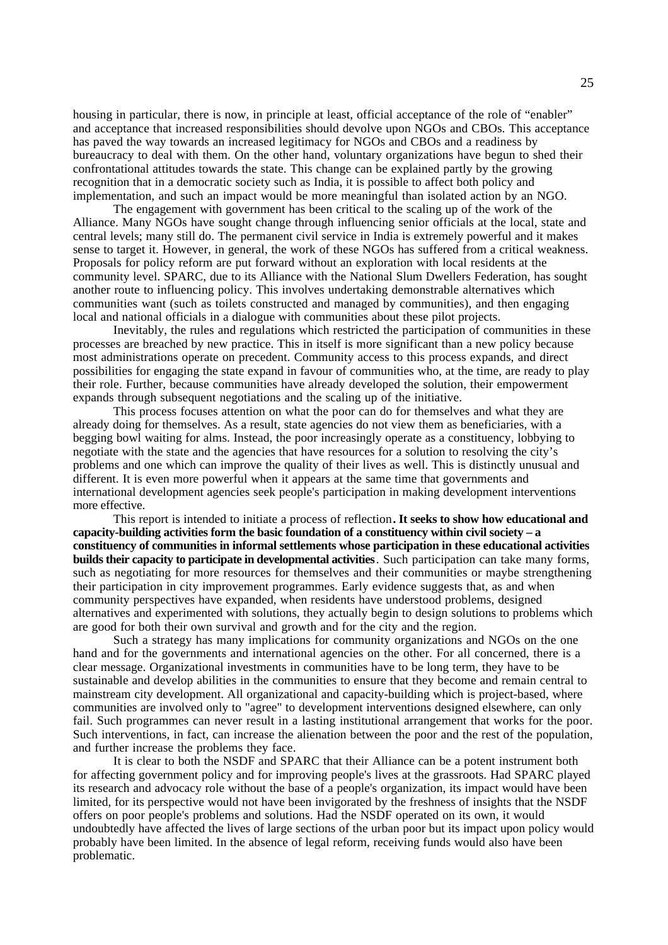housing in particular, there is now, in principle at least, official acceptance of the role of "enabler" and acceptance that increased responsibilities should devolve upon NGOs and CBOs. This acceptance has paved the way towards an increased legitimacy for NGOs and CBOs and a readiness by bureaucracy to deal with them. On the other hand, voluntary organizations have begun to shed their confrontational attitudes towards the state. This change can be explained partly by the growing recognition that in a democratic society such as India, it is possible to affect both policy and implementation, and such an impact would be more meaningful than isolated action by an NGO.

The engagement with government has been critical to the scaling up of the work of the Alliance. Many NGOs have sought change through influencing senior officials at the local, state and central levels; many still do. The permanent civil service in India is extremely powerful and it makes sense to target it. However, in general, the work of these NGOs has suffered from a critical weakness. Proposals for policy reform are put forward without an exploration with local residents at the community level. SPARC, due to its Alliance with the National Slum Dwellers Federation, has sought another route to influencing policy. This involves undertaking demonstrable alternatives which communities want (such as toilets constructed and managed by communities), and then engaging local and national officials in a dialogue with communities about these pilot projects.

Inevitably, the rules and regulations which restricted the participation of communities in these processes are breached by new practice. This in itself is more significant than a new policy because most administrations operate on precedent. Community access to this process expands, and direct possibilities for engaging the state expand in favour of communities who, at the time, are ready to play their role. Further, because communities have already developed the solution, their empowerment expands through subsequent negotiations and the scaling up of the initiative.

This process focuses attention on what the poor can do for themselves and what they are already doing for themselves. As a result, state agencies do not view them as beneficiaries, with a begging bowl waiting for alms. Instead, the poor increasingly operate as a constituency, lobbying to negotiate with the state and the agencies that have resources for a solution to resolving the city's problems and one which can improve the quality of their lives as well. This is distinctly unusual and different. It is even more powerful when it appears at the same time that governments and international development agencies seek people's participation in making development interventions more effective.

This report is intended to initiate a process of reflection**. It seeks to show how educational and capacity-building activities form the basic foundation of a constituency within civil society – a constituency of communities in informal settlements whose participation in these educational activities builds their capacity to participate in developmental activities**. Such participation can take many forms, such as negotiating for more resources for themselves and their communities or maybe strengthening their participation in city improvement programmes. Early evidence suggests that, as and when community perspectives have expanded, when residents have understood problems, designed alternatives and experimented with solutions, they actually begin to design solutions to problems which are good for both their own survival and growth and for the city and the region.

Such a strategy has many implications for community organizations and NGOs on the one hand and for the governments and international agencies on the other. For all concerned, there is a clear message. Organizational investments in communities have to be long term, they have to be sustainable and develop abilities in the communities to ensure that they become and remain central to mainstream city development. All organizational and capacity-building which is project-based, where communities are involved only to "agree" to development interventions designed elsewhere, can only fail. Such programmes can never result in a lasting institutional arrangement that works for the poor. Such interventions, in fact, can increase the alienation between the poor and the rest of the population, and further increase the problems they face.

It is clear to both the NSDF and SPARC that their Alliance can be a potent instrument both for affecting government policy and for improving people's lives at the grassroots. Had SPARC played its research and advocacy role without the base of a people's organization, its impact would have been limited, for its perspective would not have been invigorated by the freshness of insights that the NSDF offers on poor people's problems and solutions. Had the NSDF operated on its own, it would undoubtedly have affected the lives of large sections of the urban poor but its impact upon policy would probably have been limited. In the absence of legal reform, receiving funds would also have been problematic.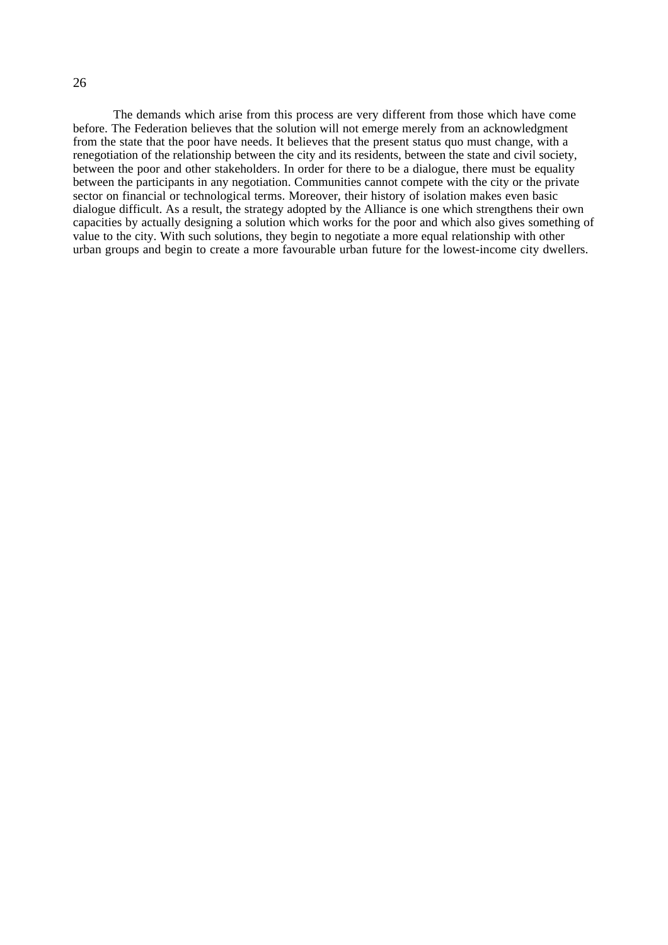The demands which arise from this process are very different from those which have come before. The Federation believes that the solution will not emerge merely from an acknowledgment from the state that the poor have needs. It believes that the present status quo must change, with a renegotiation of the relationship between the city and its residents, between the state and civil society, between the poor and other stakeholders. In order for there to be a dialogue, there must be equality between the participants in any negotiation. Communities cannot compete with the city or the private sector on financial or technological terms. Moreover, their history of isolation makes even basic dialogue difficult. As a result, the strategy adopted by the Alliance is one which strengthens their own capacities by actually designing a solution which works for the poor and which also gives something of value to the city. With such solutions, they begin to negotiate a more equal relationship with other urban groups and begin to create a more favourable urban future for the lowest-income city dwellers.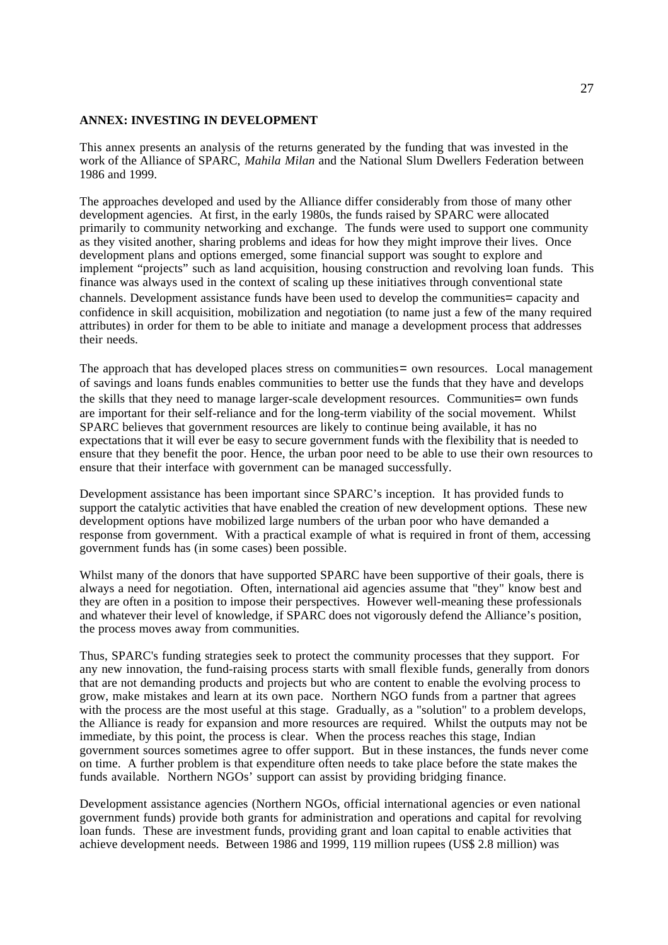### **ANNEX: INVESTING IN DEVELOPMENT**

This annex presents an analysis of the returns generated by the funding that was invested in the work of the Alliance of SPARC, *Mahila Milan* and the National Slum Dwellers Federation between 1986 and 1999.

The approaches developed and used by the Alliance differ considerably from those of many other development agencies. At first, in the early 1980s, the funds raised by SPARC were allocated primarily to community networking and exchange. The funds were used to support one community as they visited another, sharing problems and ideas for how they might improve their lives. Once development plans and options emerged, some financial support was sought to explore and implement "projects" such as land acquisition, housing construction and revolving loan funds. This finance was always used in the context of scaling up these initiatives through conventional state channels. Development assistance funds have been used to develop the communities= capacity and confidence in skill acquisition, mobilization and negotiation (to name just a few of the many required attributes) in order for them to be able to initiate and manage a development process that addresses their needs.

The approach that has developed places stress on communities = own resources. Local management of savings and loans funds enables communities to better use the funds that they have and develops the skills that they need to manage larger-scale development resources. Communities= own funds are important for their self-reliance and for the long-term viability of the social movement. Whilst SPARC believes that government resources are likely to continue being available, it has no expectations that it will ever be easy to secure government funds with the flexibility that is needed to ensure that they benefit the poor. Hence, the urban poor need to be able to use their own resources to ensure that their interface with government can be managed successfully.

Development assistance has been important since SPARC's inception. It has provided funds to support the catalytic activities that have enabled the creation of new development options. These new development options have mobilized large numbers of the urban poor who have demanded a response from government. With a practical example of what is required in front of them, accessing government funds has (in some cases) been possible.

Whilst many of the donors that have supported SPARC have been supportive of their goals, there is always a need for negotiation. Often, international aid agencies assume that "they" know best and they are often in a position to impose their perspectives. However well-meaning these professionals and whatever their level of knowledge, if SPARC does not vigorously defend the Alliance's position, the process moves away from communities.

Thus, SPARC's funding strategies seek to protect the community processes that they support. For any new innovation, the fund-raising process starts with small flexible funds, generally from donors that are not demanding products and projects but who are content to enable the evolving process to grow, make mistakes and learn at its own pace. Northern NGO funds from a partner that agrees with the process are the most useful at this stage. Gradually, as a "solution" to a problem develops, the Alliance is ready for expansion and more resources are required. Whilst the outputs may not be immediate, by this point, the process is clear. When the process reaches this stage, Indian government sources sometimes agree to offer support. But in these instances, the funds never come on time. A further problem is that expenditure often needs to take place before the state makes the funds available. Northern NGOs' support can assist by providing bridging finance.

Development assistance agencies (Northern NGOs, official international agencies or even national government funds) provide both grants for administration and operations and capital for revolving loan funds. These are investment funds, providing grant and loan capital to enable activities that achieve development needs. Between 1986 and 1999, 119 million rupees (US\$ 2.8 million) was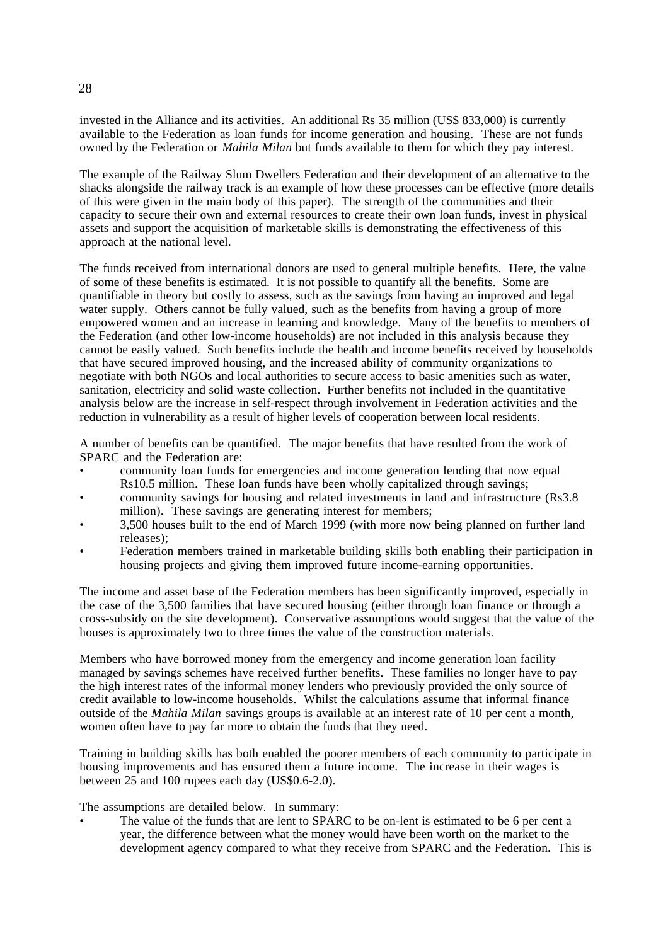invested in the Alliance and its activities. An additional Rs 35 million (US\$ 833,000) is currently available to the Federation as loan funds for income generation and housing. These are not funds owned by the Federation or *Mahila Milan* but funds available to them for which they pay interest.

The example of the Railway Slum Dwellers Federation and their development of an alternative to the shacks alongside the railway track is an example of how these processes can be effective (more details of this were given in the main body of this paper). The strength of the communities and their capacity to secure their own and external resources to create their own loan funds, invest in physical assets and support the acquisition of marketable skills is demonstrating the effectiveness of this approach at the national level.

The funds received from international donors are used to general multiple benefits. Here, the value of some of these benefits is estimated. It is not possible to quantify all the benefits. Some are quantifiable in theory but costly to assess, such as the savings from having an improved and legal water supply. Others cannot be fully valued, such as the benefits from having a group of more empowered women and an increase in learning and knowledge. Many of the benefits to members of the Federation (and other low-income households) are not included in this analysis because they cannot be easily valued. Such benefits include the health and income benefits received by households that have secured improved housing, and the increased ability of community organizations to negotiate with both NGOs and local authorities to secure access to basic amenities such as water, sanitation, electricity and solid waste collection. Further benefits not included in the quantitative analysis below are the increase in self-respect through involvement in Federation activities and the reduction in vulnerability as a result of higher levels of cooperation between local residents.

A number of benefits can be quantified. The major benefits that have resulted from the work of SPARC and the Federation are:

- community loan funds for emergencies and income generation lending that now equal Rs10.5 million. These loan funds have been wholly capitalized through savings;
- community savings for housing and related investments in land and infrastructure (Rs3.8 million). These savings are generating interest for members;
- 3,500 houses built to the end of March 1999 (with more now being planned on further land releases);
- Federation members trained in marketable building skills both enabling their participation in housing projects and giving them improved future income-earning opportunities.

The income and asset base of the Federation members has been significantly improved, especially in the case of the 3,500 families that have secured housing (either through loan finance or through a cross-subsidy on the site development). Conservative assumptions would suggest that the value of the houses is approximately two to three times the value of the construction materials.

Members who have borrowed money from the emergency and income generation loan facility managed by savings schemes have received further benefits. These families no longer have to pay the high interest rates of the informal money lenders who previously provided the only source of credit available to low-income households. Whilst the calculations assume that informal finance outside of the *Mahila Milan* savings groups is available at an interest rate of 10 per cent a month, women often have to pay far more to obtain the funds that they need.

Training in building skills has both enabled the poorer members of each community to participate in housing improvements and has ensured them a future income. The increase in their wages is between 25 and 100 rupees each day (US\$0.6-2.0).

The assumptions are detailed below. In summary:

The value of the funds that are lent to SPARC to be on-lent is estimated to be 6 per cent a year, the difference between what the money would have been worth on the market to the development agency compared to what they receive from SPARC and the Federation. This is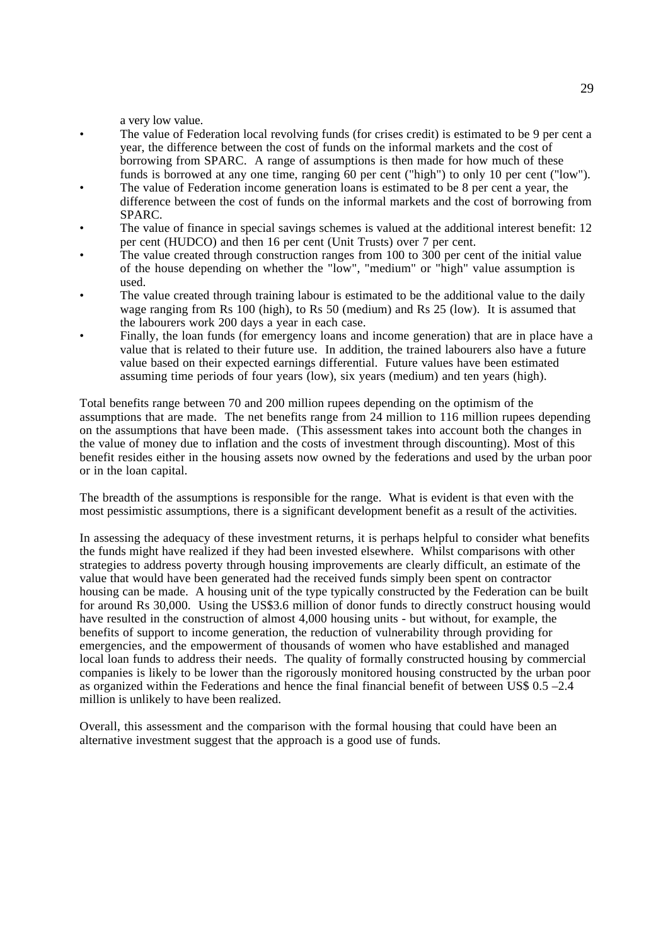a very low value.

- The value of Federation local revolving funds (for crises credit) is estimated to be 9 per cent a year, the difference between the cost of funds on the informal markets and the cost of borrowing from SPARC. A range of assumptions is then made for how much of these funds is borrowed at any one time, ranging 60 per cent ("high") to only 10 per cent ("low").
- The value of Federation income generation loans is estimated to be 8 per cent a year, the difference between the cost of funds on the informal markets and the cost of borrowing from SPARC.
- The value of finance in special savings schemes is valued at the additional interest benefit: 12 per cent (HUDCO) and then 16 per cent (Unit Trusts) over 7 per cent.
- The value created through construction ranges from 100 to 300 per cent of the initial value of the house depending on whether the "low", "medium" or "high" value assumption is used.
- The value created through training labour is estimated to be the additional value to the daily wage ranging from Rs 100 (high), to Rs 50 (medium) and Rs 25 (low). It is assumed that the labourers work 200 days a year in each case.
- Finally, the loan funds (for emergency loans and income generation) that are in place have a value that is related to their future use. In addition, the trained labourers also have a future value based on their expected earnings differential. Future values have been estimated assuming time periods of four years (low), six years (medium) and ten years (high).

Total benefits range between 70 and 200 million rupees depending on the optimism of the assumptions that are made. The net benefits range from 24 million to 116 million rupees depending on the assumptions that have been made. (This assessment takes into account both the changes in the value of money due to inflation and the costs of investment through discounting). Most of this benefit resides either in the housing assets now owned by the federations and used by the urban poor or in the loan capital.

The breadth of the assumptions is responsible for the range. What is evident is that even with the most pessimistic assumptions, there is a significant development benefit as a result of the activities.

In assessing the adequacy of these investment returns, it is perhaps helpful to consider what benefits the funds might have realized if they had been invested elsewhere. Whilst comparisons with other strategies to address poverty through housing improvements are clearly difficult, an estimate of the value that would have been generated had the received funds simply been spent on contractor housing can be made. A housing unit of the type typically constructed by the Federation can be built for around Rs 30,000. Using the US\$3.6 million of donor funds to directly construct housing would have resulted in the construction of almost 4,000 housing units - but without, for example, the benefits of support to income generation, the reduction of vulnerability through providing for emergencies, and the empowerment of thousands of women who have established and managed local loan funds to address their needs. The quality of formally constructed housing by commercial companies is likely to be lower than the rigorously monitored housing constructed by the urban poor as organized within the Federations and hence the final financial benefit of between US\$ 0.5 –2.4 million is unlikely to have been realized.

Overall, this assessment and the comparison with the formal housing that could have been an alternative investment suggest that the approach is a good use of funds.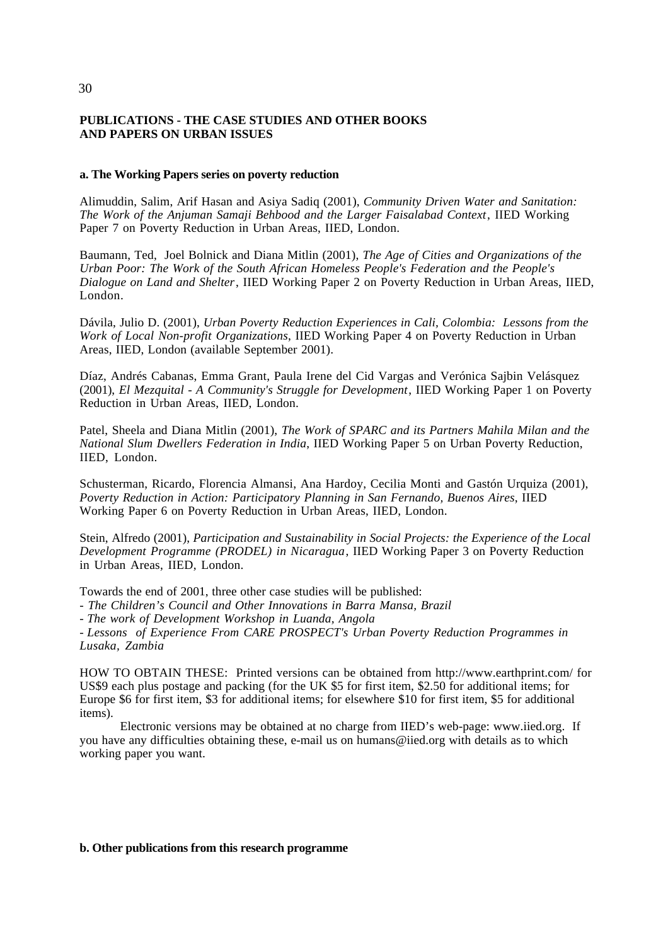## **PUBLICATIONS - THE CASE STUDIES AND OTHER BOOKS AND PAPERS ON URBAN ISSUES**

#### **a. The Working Papers series on poverty reduction**

Alimuddin, Salim, Arif Hasan and Asiya Sadiq (2001), *Community Driven Water and Sanitation: The Work of the Anjuman Samaji Behbood and the Larger Faisalabad Context*, IIED Working Paper 7 on Poverty Reduction in Urban Areas, IIED, London.

Baumann, Ted, Joel Bolnick and Diana Mitlin (2001), *The Age of Cities and Organizations of the Urban Poor: The Work of the South African Homeless People's Federation and the People's Dialogue on Land and Shelter*, IIED Working Paper 2 on Poverty Reduction in Urban Areas, IIED, London.

Dávila, Julio D. (2001), *Urban Poverty Reduction Experiences in Cali, Colombia: Lessons from the Work of Local Non-profit Organizations*, IIED Working Paper 4 on Poverty Reduction in Urban Areas, IIED, London (available September 2001).

Díaz, Andrés Cabanas, Emma Grant, Paula Irene del Cid Vargas and Verónica Sajbin Velásquez (2001), *El Mezquital - A Community's Struggle for Development*, IIED Working Paper 1 on Poverty Reduction in Urban Areas, IIED, London.

Patel, Sheela and Diana Mitlin (2001), *The Work of SPARC and its Partners Mahila Milan and the National Slum Dwellers Federation in India*, IIED Working Paper 5 on Urban Poverty Reduction, IIED, London.

Schusterman, Ricardo, Florencia Almansi, Ana Hardoy, Cecilia Monti and Gastón Urquiza (2001), *Poverty Reduction in Action: Participatory Planning in San Fernando, Buenos Aires*, IIED Working Paper 6 on Poverty Reduction in Urban Areas, IIED, London.

Stein, Alfredo (2001), *Participation and Sustainability in Social Projects: the Experience of the Local Development Programme (PRODEL) in Nicaragua*, IIED Working Paper 3 on Poverty Reduction in Urban Areas, IIED, London.

Towards the end of 2001, three other case studies will be published:

*- The Children's Council and Other Innovations in Barra Mansa, Brazil*

- *The work of Development Workshop in Luanda, Angola*

- *Lessons of Experience From CARE PROSPECT's Urban Poverty Reduction Programmes in Lusaka, Zambia*

HOW TO OBTAIN THESE: Printed versions can be obtained from http://www.earthprint.com/ for US\$9 each plus postage and packing (for the UK \$5 for first item, \$2.50 for additional items; for Europe \$6 for first item, \$3 for additional items; for elsewhere \$10 for first item, \$5 for additional items).

Electronic versions may be obtained at no charge from IIED's web-page: www.iied.org. If you have any difficulties obtaining these, e-mail us on humans@iied.org with details as to which working paper you want.

#### **b. Other publications from this research programme**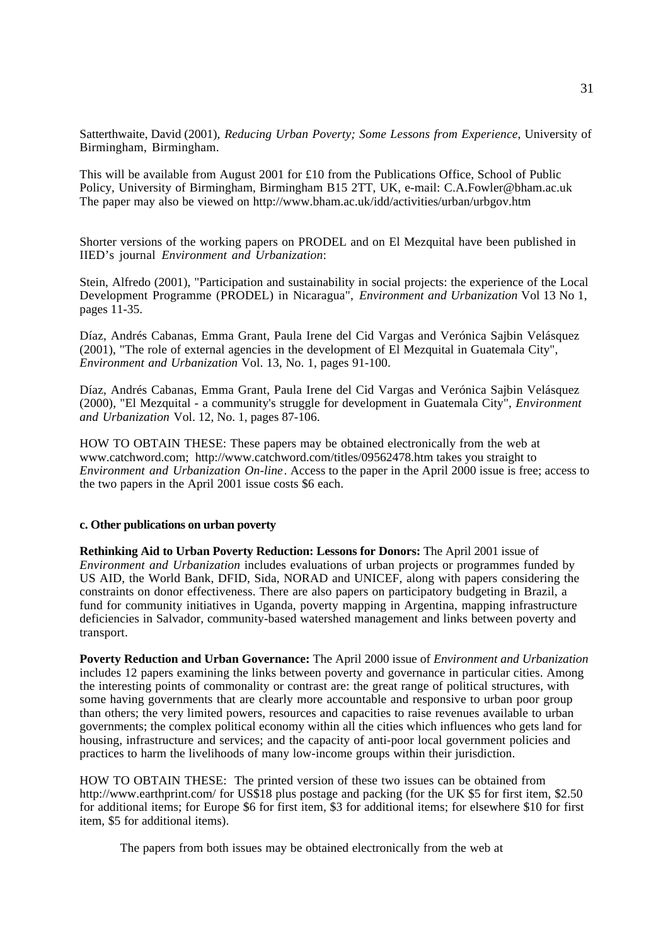Satterthwaite, David (2001), *Reducing Urban Poverty; Some Lessons from Experience*, University of Birmingham, Birmingham.

This will be available from August 2001 for £10 from the Publications Office, School of Public Policy, University of Birmingham, Birmingham B15 2TT, UK, e-mail: C.A.Fowler@bham.ac.uk The paper may also be viewed on http://www.bham.ac.uk/idd/activities/urban/urbgov.htm

Shorter versions of the working papers on PRODEL and on El Mezquital have been published in IIED's journal *Environment and Urbanization*:

Stein, Alfredo (2001), "Participation and sustainability in social projects: the experience of the Local Development Programme (PRODEL) in Nicaragua", *Environment and Urbanization* Vol 13 No 1, pages 11-35.

Díaz, Andrés Cabanas, Emma Grant, Paula Irene del Cid Vargas and Verónica Sajbin Velásquez (2001), "The role of external agencies in the development of El Mezquital in Guatemala City", *Environment and Urbanization* Vol. 13, No. 1, pages 91-100.

Díaz, Andrés Cabanas, Emma Grant, Paula Irene del Cid Vargas and Verónica Sajbin Velásquez (2000), "El Mezquital - a community's struggle for development in Guatemala City", *Environment and Urbanization* Vol. 12, No. 1, pages 87-106.

HOW TO OBTAIN THESE: These papers may be obtained electronically from the web at www.catchword.com; http://www.catchword.com/titles/09562478.htm takes you straight to *Environment and Urbanization On-line*. Access to the paper in the April 2000 issue is free; access to the two papers in the April 2001 issue costs \$6 each.

#### **c. Other publications on urban poverty**

**Rethinking Aid to Urban Poverty Reduction: Lessons for Donors:** The April 2001 issue of *Environment and Urbanization* includes evaluations of urban projects or programmes funded by US AID, the World Bank, DFID, Sida, NORAD and UNICEF, along with papers considering the constraints on donor effectiveness. There are also papers on participatory budgeting in Brazil, a fund for community initiatives in Uganda, poverty mapping in Argentina, mapping infrastructure deficiencies in Salvador, community-based watershed management and links between poverty and transport.

**Poverty Reduction and Urban Governance:** The April 2000 issue of *Environment and Urbanization* includes 12 papers examining the links between poverty and governance in particular cities. Among the interesting points of commonality or contrast are: the great range of political structures, with some having governments that are clearly more accountable and responsive to urban poor group than others; the very limited powers, resources and capacities to raise revenues available to urban governments; the complex political economy within all the cities which influences who gets land for housing, infrastructure and services; and the capacity of anti-poor local government policies and practices to harm the livelihoods of many low-income groups within their jurisdiction.

HOW TO OBTAIN THESE: The printed version of these two issues can be obtained from http://www.earthprint.com/ for US\$18 plus postage and packing (for the UK \$5 for first item, \$2.50) for additional items; for Europe \$6 for first item, \$3 for additional items; for elsewhere \$10 for first item, \$5 for additional items).

The papers from both issues may be obtained electronically from the web at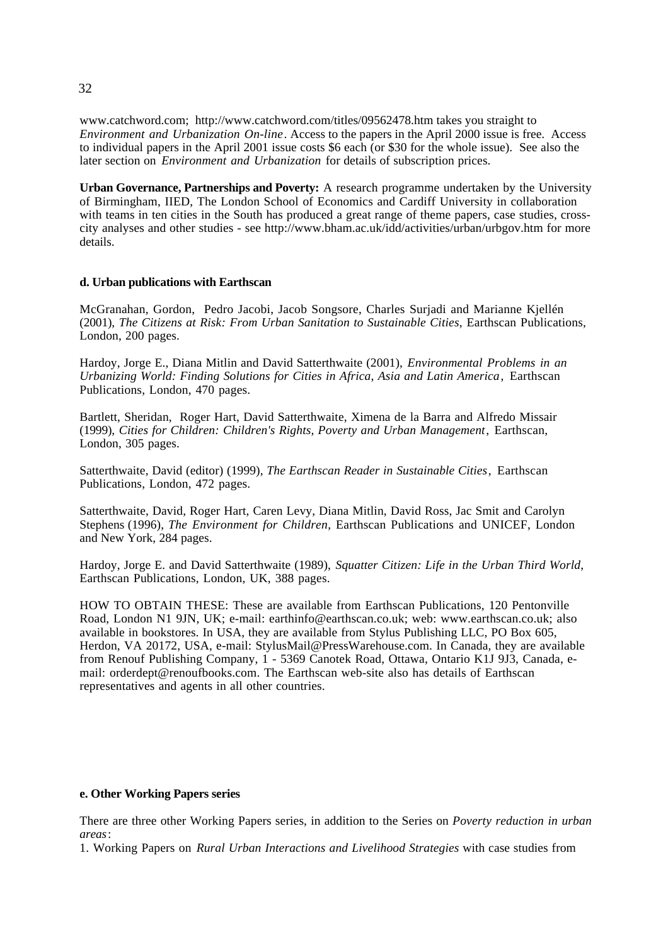www.catchword.com; http://www.catchword.com/titles/09562478.htm takes you straight to *Environment and Urbanization On-line*. Access to the papers in the April 2000 issue is free. Access to individual papers in the April 2001 issue costs \$6 each (or \$30 for the whole issue). See also the later section on *Environment and Urbanization* for details of subscription prices.

**Urban Governance, Partnerships and Poverty:** A research programme undertaken by the University of Birmingham, IIED, The London School of Economics and Cardiff University in collaboration with teams in ten cities in the South has produced a great range of theme papers, case studies, crosscity analyses and other studies - see http://www.bham.ac.uk/idd/activities/urban/urbgov.htm for more details.

## **d. Urban publications with Earthscan**

McGranahan, Gordon, Pedro Jacobi, Jacob Songsore, Charles Surjadi and Marianne Kjellén (2001), *The Citizens at Risk: From Urban Sanitation to Sustainable Cities*, Earthscan Publications, London, 200 pages.

Hardoy, Jorge E., Diana Mitlin and David Satterthwaite (2001), *Environmental Problems in an Urbanizing World: Finding Solutions for Cities in Africa, Asia and Latin America*, Earthscan Publications, London, 470 pages.

Bartlett, Sheridan, Roger Hart, David Satterthwaite, Ximena de la Barra and Alfredo Missair (1999), *Cities for Children: Children's Rights, Poverty and Urban Management*, Earthscan, London, 305 pages.

Satterthwaite, David (editor) (1999), *The Earthscan Reader in Sustainable Cities*, Earthscan Publications, London, 472 pages.

Satterthwaite, David, Roger Hart, Caren Levy, Diana Mitlin, David Ross, Jac Smit and Carolyn Stephens (1996), *The Environment for Children*, Earthscan Publications and UNICEF, London and New York, 284 pages.

Hardoy, Jorge E. and David Satterthwaite (1989), *Squatter Citizen: Life in the Urban Third World*, Earthscan Publications, London, UK, 388 pages.

HOW TO OBTAIN THESE: These are available from Earthscan Publications, 120 Pentonville Road, London N1 9JN, UK; e-mail: earthinfo@earthscan.co.uk; web: www.earthscan.co.uk; also available in bookstores. In USA, they are available from Stylus Publishing LLC, PO Box 605, Herdon, VA 20172, USA, e-mail: StylusMail@PressWarehouse.com. In Canada, they are available from Renouf Publishing Company, 1 - 5369 Canotek Road, Ottawa, Ontario K1J 9J3, Canada, email: orderdept@renoufbooks.com. The Earthscan web-site also has details of Earthscan representatives and agents in all other countries.

#### **e. Other Working Papers series**

There are three other Working Papers series, in addition to the Series on *Poverty reduction in urban areas*:

1. Working Papers on *Rural Urban Interactions and Livelihood Strategies* with case studies from

32